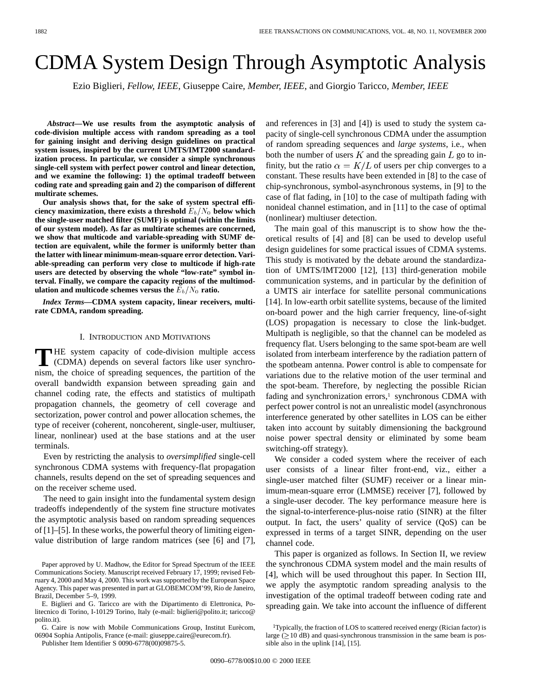# CDMA System Design Through Asymptotic Analysis

Ezio Biglieri*, Fellow, IEEE*, Giuseppe Caire*, Member, IEEE*, and Giorgio Taricco*, Member, IEEE*

*Abstract—***We use results from the asymptotic analysis of code-division multiple access with random spreading as a tool for gaining insight and deriving design guidelines on practical system issues, inspired by the current UMTS/IMT2000 standardization process. In particular, we consider a simple synchronous single-cell system with perfect power control and linear detection, and we examine the following: 1) the optimal tradeoff between coding rate and spreading gain and 2) the comparison of different multirate schemes.**

**Our analysis shows that, for the sake of system spectral efficiency maximization, there exists a threshold**  $E_b/N_0$  below which **the single-user matched filter (SUMF) is optimal (within the limits of our system model). As far as multirate schemes are concerned, we show that multicode and variable-spreading with SUMF detection are equivalent, while the former is uniformly better than the latter with linear minimum-mean-square error detection. Variable-spreading can perform very close to multicode if high-rate users are detected by observing the whole "low-rate" symbol interval. Finally, we compare the capacity regions of the multimodulation and multicode schemes versus the**  $E_b/N_0$  **ratio.** 

*Index Terms—***CDMA system capacity, linear receivers, multirate CDMA, random spreading.**

#### I. INTRODUCTION AND MOTIVATIONS

THE system capacity of code-division multiple access<br>
(CDMA) depends on several factors like user synchro-<br>
with the chains of spansaling acquires the partition of the nism, the choice of spreading sequences, the partition of the overall bandwidth expansion between spreading gain and channel coding rate, the effects and statistics of multipath propagation channels, the geometry of cell coverage and sectorization, power control and power allocation schemes, the type of receiver (coherent, noncoherent, single-user, multiuser, linear, nonlinear) used at the base stations and at the user terminals.

Even by restricting the analysis to *oversimplified* single-cell synchronous CDMA systems with frequency-flat propagation channels, results depend on the set of spreading sequences and on the receiver scheme used.

The need to gain insight into the fundamental system design tradeoffs independently of the system fine structure motivates the asymptotic analysis based on random spreading sequences of [\[1](#page-13-0)]–[[5\]](#page-13-0). In these works, the powerful theory of limiting eigenvalue distribution of large random matrices (see [[6\]](#page-13-0) and [[7\]](#page-13-0),

Publisher Item Identifier S 0090-6778(00)09875-5.

and references in [\[3](#page-13-0)] and [[4\]](#page-13-0)) is used to study the system capacity of single-cell synchronous CDMA under the assumption of random spreading sequences and *large systems*, i.e., when both the number of users  $K$  and the spreading gain  $L$  go to infinity, but the ratio  $\alpha = K/L$  of users per chip converges to a constant. These results have been extended in [[8\]](#page-13-0) to the case of chip-synchronous, symbol-asynchronous systems, in [[9\]](#page-13-0) to the case of flat fading, in [\[10](#page-13-0)] to the case of multipath fading with nonideal channel estimation, and in [[11\]](#page-13-0) to the case of optimal (nonlinear) multiuser detection.

The main goal of this manuscript is to show how the theoretical results of [\[4](#page-13-0)] and [\[8](#page-13-0)] can be used to develop useful design guidelines for some practical issues of CDMA systems. This study is motivated by the debate around the standardization of UMTS/IMT2000 [[12\]](#page-13-0), [\[13](#page-13-0)] third-generation mobile communication systems, and in particular by the definition of a UMTS air interface for satellite personal communications [[14\]](#page-13-0). In low-earth orbit satellite systems, because of the limited on-board power and the high carrier frequency, line-of-sight (LOS) propagation is necessary to close the link-budget. Multipath is negligible, so that the channel can be modeled as frequency flat. Users belonging to the same spot-beam are well isolated from interbeam interference by the radiation pattern of the spotbeam antenna. Power control is able to compensate for variations due to the relative motion of the user terminal and the spot-beam. Therefore, by neglecting the possible Rician fading and synchronization errors,<sup>1</sup> synchronous CDMA with perfect power control is not an unrealistic model (asynchronous interference generated by other satellites in LOS can be either taken into account by suitably dimensioning the background noise power spectral density or eliminated by some beam switching-off strategy).

We consider a coded system where the receiver of each user consists of a linear filter front-end, viz., either a single-user matched filter (SUMF) receiver or a linear minimum-mean-square error (LMMSE) receiver [[7\]](#page-13-0), followed by a single-user decoder. The key performance measure here is the signal-to-interference-plus-noise ratio (SINR) at the filter output. In fact, the users' quality of service (QoS) can be expressed in terms of a target SINR, depending on the user channel code.

This paper is organized as follows. In Section II, we review the synchronous CDMA system model and the main results of [[4\]](#page-13-0), which will be used throughout this paper. In Section III, we apply the asymptotic random spreading analysis to the investigation of the optimal tradeoff between coding rate and spreading gain. We take into account the influence of different

Paper approved by U. Madhow, the Editor for Spread Spectrum of the IEEE Communications Society. Manuscript received February 17, 1999; revised February 4, 2000 and May 4, 2000. This work was supported by the European Space Agency. This paper was presented in part at GLOBEMCOM'99, Rio de Janeiro, Brazil, December 5–9, 1999.

E. Biglieri and G. Taricco are with the Dipartimento di Elettronica, Politecnico di Torino, I-10129 Torino, Italy (e-mail: biglieri@polito.it; taricco@ polito.it).

G. Caire is now with Mobile Communications Group, Institut Eurècom, 06904 Sophia Antipolis, France (e-mail: giuseppe.caire@eurecom.fr).

<sup>&</sup>lt;sup>1</sup>Typically, the fraction of LOS to scattered received energy (Rician factor) is large  $(210$  dB) and quasi-synchronous transmission in the same beam is possible also in the uplink [[14\]](#page-13-0), [\[15](#page-13-0)].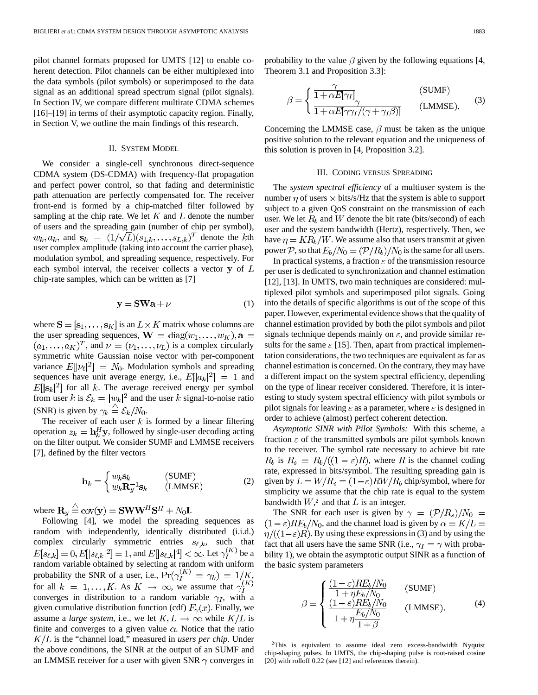pilot channel formats proposed for UMTS [[12\]](#page-13-0) to enable coherent detection. Pilot channels can be either multiplexed into the data symbols (pilot symbols) or superimposed to the data signal as an additional spread spectrum signal (pilot signals). In Section IV, we compare different multirate CDMA schemes [\[16](#page-13-0)]–[[19\]](#page-13-0) in terms of their asymptotic capacity region. Finally, in Section V, we outline the main findings of this research.

## II. SYSTEM MODEL

We consider a single-cell synchronous direct-sequence CDMA system (DS-CDMA) with frequency-flat propagation and perfect power control, so that fading and deterministic path attenuation are perfectly compensated for. The receiver front-end is formed by a chip-matched filter followed by sampling at the chip rate. We let  $K$  and  $L$  denote the number of users and the spreading gain (number of chip per symbol),  $w_k, a_k$ , and  $\mathbf{s}_k = (1/\sqrt{L})(s_{1,k}, \ldots, s_{L,k})^T$  denote the kth user complex amplitude (taking into account the carrier phase), modulation symbol, and spreading sequence, respectively. For each symbol interval, the receiver collects a vector  $y$  of  $L$ chip-rate samples, which can be written as [\[7](#page-13-0)]

$$
y = SWa + \nu
$$
 (1)

where  $S = [s_1, \ldots, s_K]$  is an  $L \times K$  matrix whose columns are the user spreading sequences,  $\mathbf{W} = \text{diag}(w_1, \dots, w_K)$ ,  $\mathbf{a} =$  $(a_1, \ldots, a_K)^T$ , and  $\nu = (\nu_1, \ldots, \nu_L)$  is a complex circularly symmetric white Gaussian noise vector with per-component variance  $E[|\nu_{\ell}|^2] = N_0$ . Modulation symbols and spreading sequences have unit average energy, i.e.,  $E[|a_k|^2] = 1$  and  $E[|\mathbf{s}_k|^2]$  for all k. The average received energy per symbol from user k is  $\mathcal{E}_k = |w_k|^2$  and the user k signal-to-noise ratio (SNR) is given by  $\gamma_k \stackrel{\triangle}{=} \mathcal{E}_k/N_0$ .

The receiver of each user  $k$  is formed by a linear filtering operation  $z_k = \mathbf{h}_k^H \mathbf{y}$ , followed by single-user decoding acting on the filter output. We consider SUMF and LMMSE receivers [\[7](#page-13-0)], defined by the filter vectors

$$
\mathbf{h}_k = \begin{cases} w_k \mathbf{s}_k & \text{(SUMF)}\\ w_k \mathbf{R}_y^{-1} \mathbf{s}_k & \text{(LMMSE)} \end{cases}
$$
 (2)

where  $\mathbf{R}_y \stackrel{\triangle}{=} \text{cov}(\mathbf{y}) = \mathbf{S} \mathbf{W} \mathbf{W}^H \mathbf{S}^H + N_0 \mathbf{I}.$ 

Following [\[4](#page-13-0)], we model the spreading sequences as random with independently, identically distributed (i.i.d.) complex circularly symmetric entries  $s_{\ell,k}$ , such that  $E[s_{\ell,k}] = 0, E[|s_{\ell,k}|^2] = 1$ , and  $E[|s_{\ell,k}|^4] < \infty$ . Let  $\gamma_I^{(K)}$  be a random variable obtained by selecting at random with uniform probability the SNR of a user, i.e.,  $Pr(\gamma_I^{(k)}) = \gamma_k = 1/K$ , for all  $k = 1, ..., K$ . As  $K \rightarrow \infty$ , we assume that  $\gamma_I^{(K)}$ converges in distribution to a random variable  $\gamma_I$ , with a given cumulative distribution function (cdf)  $F_{\gamma}(x)$ . Finally, we assume a *large system*, i.e., we let  $K, L \rightarrow \infty$  while  $K/L$  is finite and converges to a given value  $\alpha$ . Notice that the ratio  $K/L$  is the "channel load," measured in *users per chip*. Under the above conditions, the SINR at the output of an SUMF and an LMMSE receiver for a user with given SNR  $\gamma$  converges in probability to the value  $\beta$  given by the following equations [[4,](#page-13-0) Theorem 3.1 and Proposition 3.3]:

$$
\beta = \begin{cases} \frac{\gamma}{1 + \alpha E[\gamma_I]} & \text{(SUMF)}\\ \frac{\gamma}{1 + \alpha E[\gamma \gamma_I / (\gamma + \gamma_I \beta)]} & \text{(LMMSE)}. \end{cases}
$$
(3)

Concerning the LMMSE case,  $\beta$  must be taken as the unique positive solution to the relevant equation and the uniqueness of this solution is proven in [\[4](#page-13-0), Proposition 3.2].

#### III. CODING VERSUS SPREADING

The *system spectral efficiency* of a multiuser system is the number  $\eta$  of users  $\times$  bits/s/Hz that the system is able to support subject to a given QoS constraint on the transmission of each user. We let  $R<sub>b</sub>$  and W denote the bit rate (bits/second) of each user and the system bandwidth (Hertz), respectively. Then, we have  $\eta = KR_b/W$ . We assume also that users transmit at given power P, so that  $E_b/N_0 = (P/R_b)/N_0$  is the same for all users.

In practical systems, a fraction  $\epsilon$  of the transmission resource per user is dedicated to synchronization and channel estimation [\[12](#page-13-0)], [[13\]](#page-13-0). In UMTS, two main techniques are considered: multiplexed pilot symbols and superimposed pilot signals. Going into the details of specific algorithms is out of the scope of this paper. However, experimental evidence shows that the quality of channel estimation provided by both the pilot symbols and pilot signals technique depends mainly on  $\varepsilon$ , and provide similar results for the same  $\epsilon$  [\[15](#page-13-0)]. Then, apart from practical implementation considerations, the two techniques are equivalent as far as channel estimation is concerned. On the contrary, they may have a different impact on the system spectral efficiency, depending on the type of linear receiver considered. Therefore, it is interesting to study system spectral efficiency with pilot symbols or pilot signals for leaving  $\varepsilon$  as a parameter, where  $\varepsilon$  is designed in order to achieve (almost) perfect coherent detection.

*Asymptotic SINR with Pilot Symbols:* With this scheme, a fraction  $\epsilon$  of the transmitted symbols are pilot symbols known to the receiver. The symbol rate necessary to achieve bit rate  $R_b$  is  $R_s = R_b/((1 - \varepsilon)R)$ , where R is the channel coding rate, expressed in bits/symbol. The resulting spreading gain is given by  $L = W/R_s = (1 - \varepsilon)RW/R_b$  chip/symbol, where for simplicity we assume that the chip rate is equal to the system bandwidth  $W$ ,<sup>2</sup> and that  $L$  is an integer.

The SNR for each user is given by  $\gamma = (\mathcal{P}/R_s)/N_0 =$  $(1 - \varepsilon)RE_b/N_0$ , and the channel load is given by  $\alpha = K/L$  $\eta/((1-\varepsilon)R)$ . By using these expressions in (3) and by using the fact that all users have the same SNR (i.e.,  $\gamma_I = \gamma$  with probability 1), we obtain the asymptotic output SINR as a function of the basic system parameters

$$
\beta = \begin{cases}\n\frac{(1 - \varepsilon)RE_b/N_0}{1 + \eta E_b/N_0} & \text{(SUMF)} \\
\frac{(1 - \varepsilon)RE_b/N_0}{1 + \eta \frac{E_b/N_0}{1 + \beta}} & \text{(LMMSE)}.\n\end{cases}
$$
\n(4)

2This is equivalent to assume ideal zero excess-bandwidth Nyquist chip-shaping pulses. In UMTS, the chip-shaping pulse is root-raised cosine [[20\]](#page-13-0) with rolloff 0.22 (see [[12\]](#page-13-0) and references therein).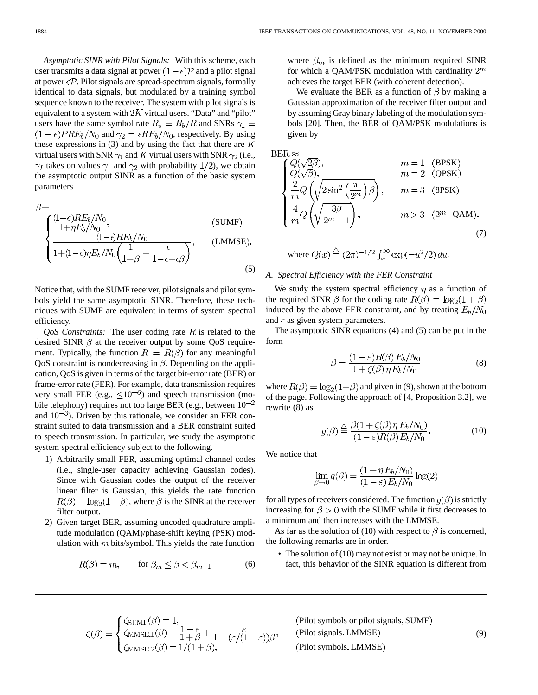*Asymptotic SINR with Pilot Signals:* With this scheme, each user transmits a data signal at power  $(1 - \epsilon)\mathcal{P}$  and a pilot signal at power  $\epsilon \mathcal{P}$ . Pilot signals are spread-spectrum signals, formally identical to data signals, but modulated by a training symbol sequence known to the receiver. The system with pilot signals is equivalent to a system with  $2K$  virtual users. "Data" and "pilot" users have the same symbol rate  $R_s = R_b/R$  and SNRs  $\gamma_1 =$  $(1 - \epsilon) PRE_b/N_0$  and  $\gamma_2 = \epsilon R E_b/N_0$ , respectively. By using these expressions in  $(3)$  and by using the fact that there are K virtual users with SNR  $\gamma_1$  and K virtual users with SNR  $\gamma_2$  (i.e.,  $\gamma_I$  takes on values  $\gamma_1$  and  $\gamma_2$  with probability 1/2), we obtain the asymptotic output SINR as a function of the basic system parameters

$$
\beta = \frac{(1-\epsilon)RE_b/N_0}{1+\eta E_b/N_0},
$$
\n(SUMF)\n
$$
\frac{(1-\epsilon)RE_b/N_0}{1+(1-\epsilon)\eta E_b/N_0\left(\frac{1}{1+\beta}+\frac{\epsilon}{1-\epsilon+\epsilon\beta}\right)},
$$
\n(LMMSE)\n(5)

Notice that, with the SUMF receiver, pilot signals and pilot symbols yield the same asymptotic SINR. Therefore, these techniques with SUMF are equivalent in terms of system spectral efficiency.

 $Q$ oS Constraints: The user coding rate  $R$  is related to the desired SINR  $\beta$  at the receiver output by some QoS requirement. Typically, the function  $R = R(\beta)$  for any meaningful QoS constraint is nondecreasing in  $\beta$ . Depending on the application, QoS is given in terms of the target bit-error rate (BER) or frame-error rate (FER). For example, data transmission requires very small FER (e.g.,  $\leq 10^{-6}$ ) and speech transmission (mobile telephony) requires not too large BER (e.g., between  $10^{-2}$ and  $10^{-3}$ ). Driven by this rationale, we consider an FER constraint suited to data transmission and a BER constraint suited to speech transmission. In particular, we study the asymptotic system spectral efficiency subject to the following.

- 1) Arbitrarily small FER, assuming optimal channel codes (i.e., single-user capacity achieving Gaussian codes). Since with Gaussian codes the output of the receiver linear filter is Gaussian, this yields the rate function  $R(\beta) = \log_2(1+\beta)$ , where  $\beta$  is the SINR at the receiver filter output.
- 2) Given target BER, assuming uncoded quadrature amplitude modulation (QAM)/phase-shift keying (PSK) modulation with  $m$  bits/symbol. This yields the rate function

 $\sqrt{2}$ 

 $\lambda$ 

$$
R(\beta) = m, \qquad \text{for } \beta_m \le \beta < \beta_{m+1} \tag{6}
$$

where  $\beta_m$  is defined as the minimum required SINR for which a QAM/PSK modulation with cardinality  $2^m$ achieves the target BER (with coherent detection).

We evaluate the BER as a function of  $\beta$  by making a Gaussian approximation of the receiver filter output and by assuming Gray binary labeling of the modulation symbols [[20\]](#page-13-0). Then, the BER of QAM/PSK modulations is given by

BER 
$$
\approx
$$
  
\n $\begin{cases}\nQ(\sqrt{2\beta}), & m = 1 \text{ (BPSK)} \\
Q(\sqrt{\beta}), & m = 2 \text{ (QPSK)} \\
\frac{2}{m}Q(\sqrt{2\sin^2\left(\frac{\pi}{2m}\right)}\beta), & m = 3 \text{ (SPSK)} \\
\frac{4}{m}Q(\sqrt{\frac{3\beta}{2^m-1}}), & m > 3 \text{ (2m-QAM)}. \n\end{cases}$ \n(7)

where 
$$
Q(x) \stackrel{\triangle}{=} (2\pi)^{-1/2} \int_x^{\infty} \exp(-u^2/2) du
$$
.

# *A. Spectral Efficiency with the FER Constraint*

We study the system spectral efficiency  $\eta$  as a function of the required SINR  $\beta$  for the coding rate  $R(\beta) = \log_2(1 + \beta)$ induced by the above FER constraint, and by treating  $E_b/N_0$ and  $\epsilon$  as given system parameters.

The asymptotic SINR equations (4) and (5) can be put in the form

$$
\beta = \frac{(1 - \varepsilon)R(\beta)E_b/N_0}{1 + \zeta(\beta)\eta E_b/N_0}
$$
\n(8)

where  $R(\beta) = \log_2(1+\beta)$  and given in (9), shown at the bottom of the page. Following the approach of [[4,](#page-13-0) Proposition 3.2], we rewrite (8) as

$$
g(\beta) \stackrel{\triangle}{=} \frac{\beta(1 + \zeta(\beta)\,\eta\,E_b/N_0)}{(1 - \varepsilon)R(\beta)\,E_b/N_0}.\tag{10}
$$

We notice that

$$
\lim_{\beta \to 0} g(\beta) = \frac{(1 + \eta E_b/N_0)}{(1 - \varepsilon) E_b/N_0} \log(2)
$$

for all types of receivers considered. The function  $g(\beta)$  is strictly increasing for  $\beta > 0$  with the SUMF while it first decreases to a minimum and then increases with the LMMSE.

As far as the solution of (10) with respect to  $\beta$  is concerned, the following remarks are in order.

• The solution of (10) may not exist or may not be unique. In fact, this behavior of the SINR equation is different from

$$
\zeta(\beta) = \begin{cases}\n\zeta_{\text{SUMF}}(\beta) = 1, & \varepsilon \\
\zeta_{\text{MMSE},1}(\beta) = \frac{1 - \varepsilon}{1 + \beta} + \frac{\varepsilon}{1 + (\varepsilon/(1 - \varepsilon))\beta} \\
\zeta_{\text{MMSE},2}(\beta) = 1/(1 + \beta), & \varepsilon\n\end{cases}
$$

(Pilot symbols or pilot signals, SUMF) (Pilot signals, LMMSE) (Pilot symbols, LMMSE)

(9)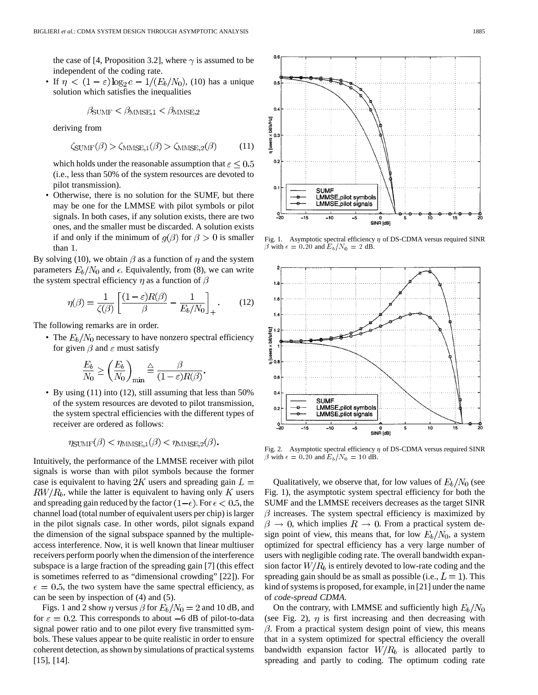the case of [\[4](#page-13-0), Proposition 3.2], where  $\gamma$  is assumed to be independent of the coding rate.

• If  $\eta < (1-\varepsilon)\log_2 e - 1/(E_b/N_0)$ , (10) has a unique solution which satisfies the inequalities

$$
\beta_{\text{SUMF}} < \beta_{\text{MMSE},1} < \beta_{\text{MMSE},2}
$$

deriving from

$$
\zeta_{\text{SUMF}}(\beta) > \zeta_{\text{MMSE},1}(\beta) > \zeta_{\text{MMSE},2}(\beta) \tag{11}
$$

which holds under the reasonable assumption that  $\varepsilon \leq 0.5$ (i.e., less than 50% of the system resources are devoted to pilot transmission).

• Otherwise, there is no solution for the SUMF, but there may be one for the LMMSE with pilot symbols or pilot signals. In both cases, if any solution exists, there are two ones, and the smaller must be discarded. A solution exists if and only if the minimum of  $g(\beta)$  for  $\beta > 0$  is smaller than 1.

By solving (10), we obtain  $\beta$  as a function of  $\eta$  and the system parameters  $E_b/N_0$  and  $\epsilon$ . Equivalently, from (8), we can write the system spectral efficiency  $\eta$  as a function of  $\beta$ 

$$
\eta(\beta) = \frac{1}{\zeta(\beta)} \left[ \frac{(1-\varepsilon)R(\beta)}{\beta} - \frac{1}{E_b/N_0} \right]_+.
$$
 (12)

The following remarks are in order.

• The  $E_b/N_0$  necessary to have nonzero spectral efficiency for given  $\beta$  and  $\varepsilon$  must satisfy

$$
\frac{E_b}{N_0} \ge \left(\frac{E_b}{N_0}\right)_{\min} \stackrel{\triangle}{=} \frac{\beta}{(1 - \varepsilon)R(\beta)}
$$

• By using (11) into (12), still assuming that less than 50% of the system resources are devoted to pilot transmission, the system spectral efficiencies with the different types of receiver are ordered as follows:

$$
\eta_{\text{SUMF}}(\beta) < \eta_{\text{MMSE},1}(\beta) < \eta_{\text{MMSE},2}(\beta)
$$

Intuitively, the performance of the LMMSE receiver with pilot signals is worse than with pilot symbols because the former case is equivalent to having 2K users and spreading gain  $L =$  $RW/R<sub>b</sub>$ , while the latter is equivalent to having only K users and spreading gain reduced by the factor  $(1-\epsilon)$ . For  $\epsilon < 0.5$ , the channel load (total number of equivalent users per chip) is larger in the pilot signals case. In other words, pilot signals expand the dimension of the signal subspace spanned by the multipleaccess interference. Now, it is well known that linear multiuser receivers perform poorly when the dimension of the interference subspace is a large fraction of the spreading gain [\[7](#page-13-0)] (this effect is sometimes referred to as "dimensional crowding" [[22](#page-13-0)]). For  $\epsilon = 0.5$ , the two system have the same spectral efficiency, as can be seen by inspection of (4) and (5).

Figs. 1 and 2 show  $\eta$  versus  $\beta$  for  $E_b/N_0 = 2$  and 10 dB, and for  $\varepsilon = 0.2$ . This corresponds to about  $-6$  dB of pilot-to-data signal power ratio and to one pilot every five transmitted symbols. These values appear to be quite realistic in order to ensure coherent detection, as shown by simulations of practical systems [\[15](#page-13-0)], [[14\]](#page-13-0).



Fig. 1. Asymptotic spectral efficiency  $\eta$  of DS-CDMA versus required SINR  $\beta$  with  $\epsilon = 0.20$  and  $E_b/N_0 = 2$  dB.



Fig. 2. Asymptotic spectral efficiency  $\eta$  of DS-CDMA versus required SINR  $\beta$  with  $\epsilon = 0.20$  and  $E_b/N_0 = 10$  dB.

Qualitatively, we observe that, for low values of  $E_b/N_0$  (see Fig. 1), the asymptotic system spectral efficiency for both the SUMF and the LMMSE receivers decreases as the target SINR  $\beta$  increases. The system spectral efficiency is maximized by  $\beta \to 0$ , which implies  $R \to 0$ . From a practical system design point of view, this means that, for low  $E_b/N_0$ , a system optimized for spectral efficiency has a very large number of users with negligible coding rate. The overall bandwidth expansion factor  $W/R_b$  is entirely devoted to low-rate coding and the spreading gain should be as small as possible (i.e.,  $L = 1$ ). This kind of systems is proposed, for example, in [\[21](#page-13-0)] under the name of *code-spread CDMA*.

On the contrary, with LMMSE and sufficiently high  $E_b/N_0$ (see Fig. 2),  $\eta$  is first increasing and then decreasing with  $\beta$ . From a practical system design point of view, this means that in a system optimized for spectral efficiency the overall bandwidth expansion factor  $W/R_b$  is allocated partly to spreading and partly to coding. The optimum coding rate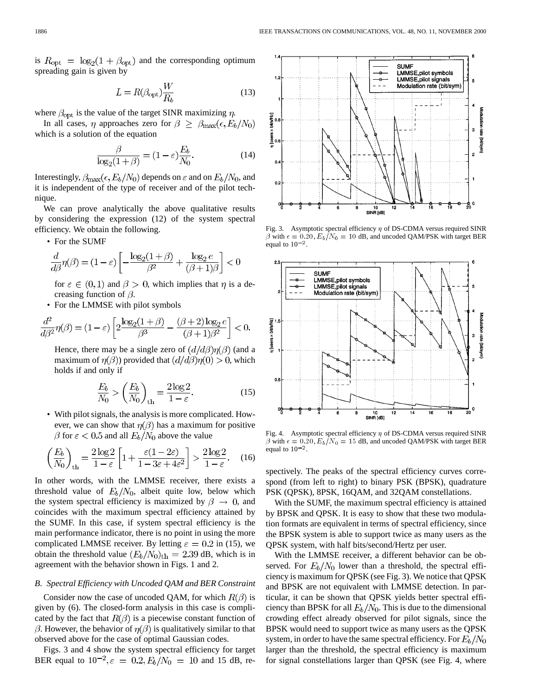is  $R_{\text{opt}} = \log_2(1 + \beta_{\text{opt}})$  and the corresponding optimum spreading gain is given by

$$
L = R(\beta_{\rm opt}) \frac{W}{R_b} \tag{13}
$$

where  $\beta_{\rm opt}$  is the value of the target SINR maximizing  $\eta$ .

In all cases,  $\eta$  approaches zero for  $\beta \geq \beta_{\text{max}}(\epsilon, E_b/N_0)$ which is a solution of the equation

$$
\frac{\beta}{\log_2(1+\beta)} = (1-\varepsilon)\frac{E_b}{N_0}.\tag{14}
$$

Interestingly,  $\beta_{\text{max}}(\epsilon, E_b/N_0)$  depends on  $\epsilon$  and on  $E_b/N_0$ , and it is independent of the type of receiver and of the pilot technique.

We can prove analytically the above qualitative results by considering the expression (12) of the system spectral efficiency. We obtain the following.

• For the SUMF

$$
\frac{d}{d\beta}\eta(\beta) = (1 - \varepsilon) \left[ -\frac{\log_2(1 + \beta)}{\beta^2} + \frac{\log_2 e}{(\beta + 1)\beta} \right] < 0
$$

for  $\varepsilon \in (0,1)$  and  $\beta > 0$ , which implies that  $\eta$  is a decreasing function of  $\beta$ .

• For the LMMSE with pilot symbols

$$
\frac{d^2}{d\beta^2}\eta(\beta) = (1 - \varepsilon) \left[ 2\frac{\log_2(1 + \beta)}{\beta^3} - \frac{(\beta + 2)\log_2 e}{(\beta + 1)\beta^2} \right] < 0.
$$

Hence, there may be a single zero of  $(d/d\beta)\eta(\beta)$  (and a maximum of  $\eta(\beta)$ ) provided that  $(d/d\beta)\eta(0) > 0$ , which holds if and only if

$$
\frac{E_b}{N_0} > \left(\frac{E_b}{N_0}\right)_{\text{th}} = \frac{2\log 2}{1 - \varepsilon}.\tag{15}
$$

• With pilot signals, the analysis is more complicated. However, we can show that  $\eta(\beta)$  has a maximum for positive  $\beta$  for  $\varepsilon$  < 0.5 and all  $E_b/N_0$  above the value

$$
\left(\frac{E_b}{N_0}\right)_{\text{th}} = \frac{2\log 2}{1-\varepsilon} \left[1 + \frac{\varepsilon (1 - 2\varepsilon)}{1 - 3\varepsilon + 4\varepsilon^2}\right] > \frac{2\log 2}{1 - \varepsilon}.\tag{16}
$$

In other words, with the LMMSE receiver, there exists a threshold value of  $E_b/N_0$ , albeit quite low, below which the system spectral efficiency is maximized by  $\beta \rightarrow 0$ , and coincides with the maximum spectral efficiency attained by the SUMF. In this case, if system spectral efficiency is the main performance indicator, there is no point in using the more complicated LMMSE receiver. By letting  $\varepsilon = 0.2$  in (15), we obtain the threshold value  $(E_b/N_0)_{\text{th}} = 2.39$  dB, which is in agreement with the behavior shown in Figs. 1 and 2.

# *B. Spectral Efficiency with Uncoded QAM and BER Constraint*

Consider now the case of uncoded QAM, for which  $R(\beta)$  is given by (6). The closed-form analysis in this case is complicated by the fact that  $R(\beta)$  is a piecewise constant function of  $\beta$ . However, the behavior of  $\eta(\beta)$  is qualitatively similar to that observed above for the case of optimal Gaussian codes.

Figs. 3 and 4 show the system spectral efficiency for target BER equal to  $10^{-2}$ ,  $\varepsilon = 0.2$ ,  $E_b/N_0 = 10$  and 15 dB, re-



Fig. 3. Asymptotic spectral efficiency  $\eta$  of DS-CDMA versus required SINR  $\beta$  with  $\epsilon = 0.20$ ,  $E_b/N_0 = 10$  dB, and uncoded QAM/PSK with target BER equal to  $10^{-2}$ .



Fig. 4. Asymptotic spectral efficiency  $\eta$  of DS-CDMA versus required SINR  $\beta$  with  $\epsilon = 0.20$ ,  $E_b/N_0 = 15$  dB, and uncoded QAM/PSK with target BER equal to  $10^{-2}$ .

spectively. The peaks of the spectral efficiency curves correspond (from left to right) to binary PSK (BPSK), quadrature PSK (QPSK), 8PSK, 16QAM, and 32QAM constellations.

With the SUMF, the maximum spectral efficiency is attained by BPSK and QPSK. It is easy to show that these two modulation formats are equivalent in terms of spectral efficiency, since the BPSK system is able to support twice as many users as the QPSK system, with half bits/second/Hertz per user.

With the LMMSE receiver, a different behavior can be observed. For  $E_b/N_0$  lower than a threshold, the spectral efficiency is maximum for QPSK (see Fig. 3). We notice that QPSK and BPSK are not equivalent with LMMSE detection. In particular, it can be shown that QPSK yields better spectral efficiency than BPSK for all  $E_b/N_0$ . This is due to the dimensional crowding effect already observed for pilot signals, since the BPSK would need to support twice as many users as the QPSK system, in order to have the same spectral efficiency. For  $E_b/N_0$ larger than the threshold, the spectral efficiency is maximum for signal constellations larger than QPSK (see Fig. 4, where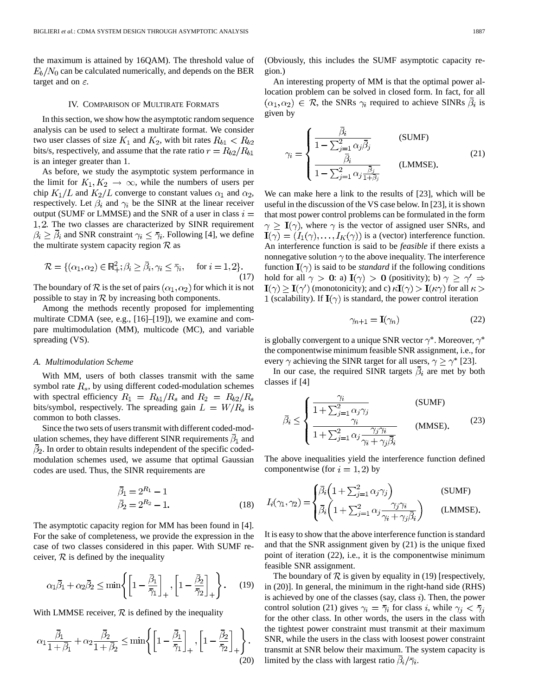the maximum is attained by 16QAM). The threshold value of  $E_b/N_0$  can be calculated numerically, and depends on the BER target and on  $\varepsilon$ .

## IV. COMPARISON OF MULTIRATE FORMATS

In this section, we show how the asymptotic random sequence analysis can be used to select a multirate format. We consider two user classes of size  $K_1$  and  $K_2$ , with bit rates  $R_{b1} < R_{b2}$ bits/s, respectively, and assume that the rate ratio  $r = R_{b2}/R_{b1}$ is an integer greater than 1.

As before, we study the asymptotic system performance in the limit for  $K_1, K_2 \rightarrow \infty$ , while the numbers of users per chip  $K_1/L$  and  $K_2/L$  converge to constant values  $\alpha_1$  and  $\alpha_2$ , respectively. Let  $\beta_i$  and  $\gamma_i$  be the SINR at the linear receiver output (SUMF or LMMSE) and the SNR of a user in class  $i =$ . The two classes are characterized by SINR requirement  $\beta_i \geq \overline{\beta}_i$  and SNR constraint  $\gamma_i \leq \overline{\gamma}_i$ . Following [[4\]](#page-13-0), we define the multirate system capacity region  $\mathcal R$  as

$$
\mathcal{R} = \{ (\alpha_1, \alpha_2) \in \mathbb{R}_+^2; \beta_i \ge \bar{\beta}_i, \gamma_i \le \bar{\gamma}_i, \text{ for } i = 1, 2 \}.
$$
\n(17)

The boundary of  $R$  is the set of pairs  $(\alpha_1, \alpha_2)$  for which it is not possible to stay in  $R$  by increasing both components.

Among the methods recently proposed for implementing multirate CDMA (see, e.g., [[16\]](#page-13-0)–[\[19](#page-13-0)]), we examine and compare multimodulation (MM), multicode (MC), and variable spreading (VS).

# *A. Multimodulation Scheme*

With MM, users of both classes transmit with the same symbol rate  $R_s$ , by using different coded-modulation schemes with spectral efficiency  $R_1 = R_{b1}/R_s$  and  $R_2 = R_{b2}/R_s$ bits/symbol, respectively. The spreading gain  $L = W/R<sub>s</sub>$  is common to both classes.

Since the two sets of users transmit with different coded-modulation schemes, they have different SINR requirements  $\bar{\beta}_1$  and  $\bar{\beta}_2$ . In order to obtain results independent of the specific codedmodulation schemes used, we assume that optimal Gaussian codes are used. Thus, the SINR requirements are

$$
\begin{aligned}\n\bar{\beta}_1 &= 2^{R_1} - 1\\ \n\bar{\beta}_2 &= 2^{R_2} - 1.\n\end{aligned} \tag{18}
$$

The asymptotic capacity region for MM has been found in [\[4](#page-13-0)]. For the sake of completeness, we provide the expression in the case of two classes considered in this paper. With SUMF receiver,  $R$  is defined by the inequality

$$
\alpha_1 \overline{\beta}_1 + \alpha_2 \overline{\beta}_2 \le \min \left\{ \left[ 1 - \frac{\overline{\beta}_1}{\overline{\gamma}_1} \right]_+, \left[ 1 - \frac{\overline{\beta}_2}{\overline{\gamma}_2} \right]_+ \right\}.
$$
 (19)

With LMMSE receiver,  $\mathcal R$  is defined by the inequality

$$
\alpha_1 \frac{\overline{\beta}_1}{1 + \overline{\beta}_1} + \alpha_2 \frac{\overline{\beta}_2}{1 + \overline{\beta}_2} \le \min \left\{ \left[ 1 - \frac{\overline{\beta}_1}{\overline{\gamma}_1} \right]_+, \left[ 1 - \frac{\overline{\beta}_2}{\overline{\gamma}_2} \right]_+ \right\}.
$$
\n(20)

(Obviously, this includes the SUMF asymptotic capacity region.)

An interesting property of MM is that the optimal power allocation problem can be solved in closed form. In fact, for all  $(\alpha_1, \alpha_2) \in \mathcal{R}$ , the SNRs  $\gamma_i$  required to achieve SINRs  $\bar{\beta}_i$  is given by

$$
\gamma_i = \begin{cases} \frac{\bar{\beta}_i}{1 - \sum_{j=1}^2 \alpha_j \bar{\beta}_j} & \text{(SUMF)}\\ \frac{\bar{\beta}_i}{1 - \sum_{j=1}^2 \alpha_j \frac{\bar{\beta}_j}{1 + \bar{\beta}_j}} & \text{(LMMSE)} \end{cases}
$$
(21)

We can make here a link to the results of [\[23](#page-13-0)], which will be useful in the discussion of the VS case below. In [\[23](#page-13-0)], it is shown that most power control problems can be formulated in the form  $\gamma \geq \mathbf{I}(\gamma)$ , where  $\gamma$  is the vector of assigned user SNRs, and  $\mathbf{I}(\gamma) = (I_1(\gamma), \dots, I_K(\gamma))$  is a (vector) interference function. An interference function is said to be *feasible* if there exists a nonnegative solution  $\gamma$  to the above inequality. The interference function  $\mathbf{I}(\gamma)$  is said to be *standard* if the following conditions hold for all  $\gamma > 0$ : a)  $I(\gamma) > 0$  (positivity); b)  $\gamma \ge \gamma' \Rightarrow$  $\mathbf{I}(\gamma) \geq \mathbf{I}(\gamma')$  (monotonicity); and c)  $\kappa \mathbf{I}(\gamma) > \mathbf{I}(\kappa \gamma)$  for all  $\kappa >$ 1 (scalability). If  $I(\gamma)$  is standard, the power control iteration

$$
\gamma_{n+1} = \mathbf{I}(\gamma_n) \tag{22}
$$

is globally convergent to a unique SNR vector  $\gamma^*$ . Moreover,  $\gamma^*$ the componentwise minimum feasible SNR assignment, i.e., for every  $\gamma$  achieving the SINR target for all users,  $\gamma \geq \gamma^*$  [[23\]](#page-13-0).

In our case, the required SINR targets  $\overline{\beta}_i$  are met by both classes if [\[4](#page-13-0)]

$$
\bar{\beta}_i \leq \begin{cases}\n\frac{\gamma_i}{1 + \sum_{j=1}^2 \alpha_j \gamma_j} & \text{(SUMF)} \\
\frac{\gamma_i}{1 + \sum_{j=1}^2 \alpha_j \frac{\gamma_j \gamma_i}{\gamma_i + \gamma_j \bar{\beta}_i}} & \text{(MMSE)}.\n\end{cases}
$$
\n(23)

The above inequalities yield the interference function defined componentwise (for  $i = 1, 2$ ) by

$$
I_i(\gamma_1, \gamma_2) = \begin{cases} \bar{\beta}_i \left( 1 + \sum_{j=1}^2 \alpha_j \gamma_j \right) & \text{(SUMF)} \\ \bar{\beta}_i \left( 1 + \sum_{j=1}^2 \alpha_j \frac{\gamma_j \gamma_i}{\gamma_i + \gamma_j \bar{\beta}_i} \right) & \text{(LMMSE)} \end{cases}
$$

It is easy to show that the above interference function is standard and that the SNR assignment given by (21) is the unique fixed point of iteration (22), i.e., it is the componentwise minimum feasible SNR assignment.

The boundary of  $\mathcal R$  is given by equality in (19) [respectively, in (20)]. In general, the minimum in the right-hand side (RHS) is achieved by one of the classes (say, class  $i$ ). Then, the power control solution (21) gives  $\gamma_i = \overline{\gamma}_i$  for class i, while  $\gamma_j < \overline{\gamma}_j$ for the other class. In other words, the users in the class with the tightest power constraint must transmit at their maximum SNR, while the users in the class with loosest power constraint transmit at SNR below their maximum. The system capacity is limited by the class with largest ratio  $\overline{\beta_i}/\overline{\gamma_i}$ .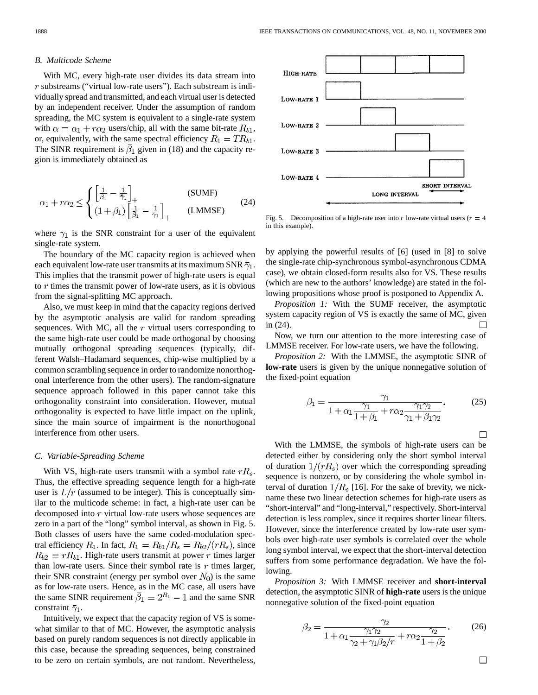#### *B. Multicode Scheme*

With MC, every high-rate user divides its data stream into  $r$  substreams ("virtual low-rate users"). Each substream is individually spread and transmitted, and each virtual user is detected by an independent receiver. Under the assumption of random spreading, the MC system is equivalent to a single-rate system with  $\alpha = \alpha_1 + r\alpha_2$  users/chip, all with the same bit-rate  $R_{b1}$ , or, equivalently, with the same spectral efficiency  $R_1 = TR_{b1}$ . The SINR requirement is  $\bar{\beta}_1$  given in (18) and the capacity region is immediately obtained as

$$
\alpha_1 + r\alpha_2 \le \begin{cases} \left[\frac{1}{\beta_1} - \frac{1}{\bar{\gamma}_1}\right]_+ & \text{(SUMF)}\\ (1 + \beta_1)\left[\frac{1}{\beta_1} - \frac{1}{\bar{\gamma}_1}\right]_+ & \text{(LMMSE)} \end{cases}
$$
(24)

where  $\bar{\gamma}_1$  is the SNR constraint for a user of the equivalent single-rate system.

The boundary of the MC capacity region is achieved when each equivalent low-rate user transmits at its maximum SNR  $\bar{\gamma}_1$ . This implies that the transmit power of high-rate users is equal to  $r$  times the transmit power of low-rate users, as it is obvious from the signal-splitting MC approach.

Also, we must keep in mind that the capacity regions derived by the asymptotic analysis are valid for random spreading sequences. With MC, all the  $r$  virtual users corresponding to the same high-rate user could be made orthogonal by choosing mutually orthogonal spreading sequences (typically, different Walsh–Hadamard sequences, chip-wise multiplied by a common scrambling sequence in order to randomize nonorthogonal interference from the other users). The random-signature sequence approach followed in this paper cannot take this orthogonality constraint into consideration. However, mutual orthogonality is expected to have little impact on the uplink, since the main source of impairment is the nonorthogonal interference from other users.

#### *C. Variable-Spreading Scheme*

With VS, high-rate users transmit with a symbol rate  $rR_s$ . Thus, the effective spreading sequence length for a high-rate user is  $L/r$  (assumed to be integer). This is conceptually similar to the multicode scheme: in fact, a high-rate user can be decomposed into  $r$  virtual low-rate users whose sequences are zero in a part of the "long" symbol interval, as shown in Fig. 5. Both classes of users have the same coded-modulation spectral efficiency  $R_1$ . In fact,  $R_1 = R_{b1}/R_s = R_{b2}/(rR_s)$ , since  $R_{b2} = rR_{b1}$ . High-rate users transmit at power r times larger than low-rate users. Since their symbol rate is  $r$  times larger, their SNR constraint (energy per symbol over  $N_0$ ) is the same as for low-rate users. Hence, as in the MC case, all users have the same SINR requirement  $\overline{\beta}_1 = 2^{R_1} - 1$  and the same SNR constraint  $\bar{\gamma}_1$ .

Intuitively, we expect that the capacity region of VS is somewhat similar to that of MC. However, the asymptotic analysis based on purely random sequences is not directly applicable in this case, because the spreading sequences, being constrained to be zero on certain symbols, are not random. Nevertheless,



Fig. 5. Decomposition of a high-rate user into r low-rate virtual users ( $r = 4$ ) in this example).

by applying the powerful results of [\[6](#page-13-0)] (used in [[8\]](#page-13-0) to solve the single-rate chip-synchronous symbol-asynchronous CDMA case), we obtain closed-form results also for VS. These results (which are new to the authors' knowledge) are stated in the following propositions whose proof is postponed to Appendix A.

*Proposition 1:* With the SUMF receiver, the asymptotic system capacity region of VS is exactly the same of MC, given in (24).  $\mathbf{L}$ 

Now, we turn our attention to the more interesting case of LMMSE receiver. For low-rate users, we have the following.

*Proposition 2:* With the LMMSE, the asymptotic SINR of **low-rate** users is given by the unique nonnegative solution of the fixed-point equation

$$
\beta_1 = \frac{\gamma_1}{1 + \alpha_1 \frac{\gamma_1}{1 + \beta_1} + r\alpha_2 \frac{\gamma_1 \gamma_2}{\gamma_1 + \beta_1 \gamma_2}}.
$$
 (25)

 $\Box$ 

With the LMMSE, the symbols of high-rate users can be detected either by considering only the short symbol interval of duration  $1/(rR<sub>s</sub>)$  over which the corresponding spreading sequence is nonzero, or by considering the whole symbol interval of duration  $1/R_s$  [[16\]](#page-13-0). For the sake of brevity, we nickname these two linear detection schemes for high-rate users as "short-interval" and "long-interval," respectively. Short-interval detection is less complex, since it requires shorter linear filters. However, since the interference created by low-rate user symbols over high-rate user symbols is correlated over the whole long symbol interval, we expect that the short-interval detection suffers from some performance degradation. We have the following.

*Proposition 3:* With LMMSE receiver and **short-interval** detection, the asymptotic SINR of **high-rate** users is the unique nonnegative solution of the fixed-point equation

$$
\beta_2 = \frac{\gamma_2}{1 + \alpha_1 \frac{\gamma_1 \gamma_2}{\gamma_2 + \gamma_1 \beta_2 / r} + r \alpha_2 \frac{\gamma_2}{1 + \beta_2}}.
$$
 (26)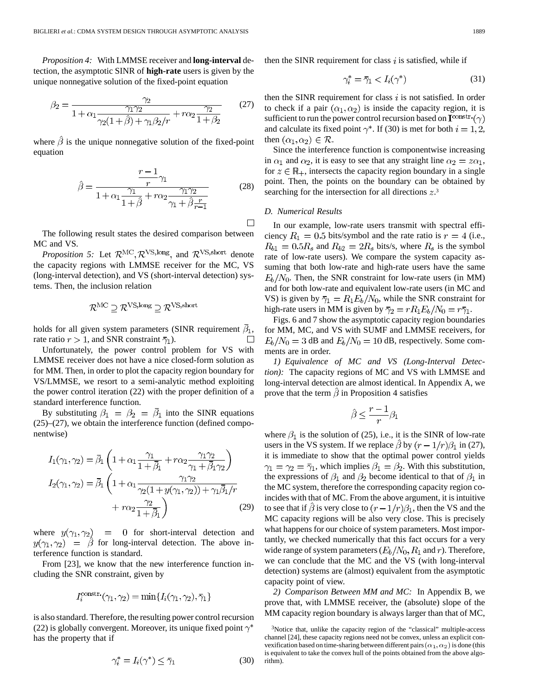*Proposition 4:* With LMMSE receiver and **long-interval** detection, the asymptotic SINR of **high-rate** users is given by the unique nonnegative solution of the fixed-point equation

$$
\beta_2 = \frac{\gamma_2}{1 + \alpha_1 \frac{\gamma_1 \gamma_2}{\gamma_2 (1 + \hat{\beta}) + \gamma_1 \beta_2 / r} + r \alpha_2 \frac{\gamma_2}{1 + \beta_2}} \qquad (27)
$$

where  $\hat{\beta}$  is the unique nonnegative solution of the fixed-point equation

$$
\hat{\beta} = \frac{\frac{r-1}{r}\gamma_1}{1+\alpha_1\frac{\gamma_1}{1+\hat{\beta}}+r\alpha_2\frac{\gamma_1\gamma_2}{\gamma_1+\hat{\beta}\frac{r}{r-1}}}
$$
(28)

 $\Box$ 

The following result states the desired comparison between MC and VS.

*Proposition 5:* Let  $\mathcal{R}^{\text{MC}}, \mathcal{R}^{\text{VS,long}}$ , and  $\mathcal{R}^{\text{VS,short}}$  denote the capacity regions with LMMSE receiver for the MC, VS (long-interval detection), and VS (short-interval detection) systems. Then, the inclusion relation

$$
\mathcal{R}^{\mathrm{MC}} \supseteq \mathcal{R}^{\mathrm{VS,long}} \supseteq \mathcal{R}^{\mathrm{VS,short}}
$$

holds for all given system parameters (SINR requirement  $\bar{\beta}_1$ , rate ratio  $r > 1$ , and SNR constraint  $\bar{\gamma}_1$ ).  $\Box$ 

Unfortunately, the power control problem for VS with LMMSE receiver does not have a nice closed-form solution as for MM. Then, in order to plot the capacity region boundary for VS/LMMSE, we resort to a semi-analytic method exploiting the power control iteration (22) with the proper definition of a standard interference function.

By substituting  $\beta_1 = \beta_2 = \overline{\beta}_1$  into the SINR equations (25)–(27), we obtain the interference function (defined componentwise)

$$
I_1(\gamma_1, \gamma_2) = \bar{\beta}_1 \left( 1 + \alpha_1 \frac{\gamma_1}{1 + \bar{\beta}_1} + r\alpha_2 \frac{\gamma_1 \gamma_2}{\gamma_1 + \bar{\beta}_1 \gamma_2} \right)
$$
  
\n
$$
I_2(\gamma_1, \gamma_2) = \bar{\beta}_1 \left( 1 + \alpha_1 \frac{\gamma_1 \gamma_2}{\gamma_2 (1 + y(\gamma_1, \gamma_2)) + \gamma_1 \bar{\beta}_1 / r} + r\alpha_2 \frac{\gamma_2}{1 + \bar{\beta}_1} \right) \tag{29}
$$

where  $y(\gamma_1, \gamma_2) = 0$  for short-interval detection and  $y(\gamma_1, \gamma_2) = \hat{\beta}$  for long-interval detection. The above interference function is standard.

From [[23](#page-13-0)], we know that the new interference function including the SNR constraint, given by

$$
I_i^{\text{constr.}}(\gamma_1, \gamma_2) = \min\{I_i(\gamma_1, \gamma_2), \overline{\gamma}_1\}
$$

is also standard. Therefore, the resulting power control recursion (22) is globally convergent. Moreover, its unique fixed point  $\gamma^*$ has the property that if

$$
\gamma_i^* = I_i(\gamma^*) \le \bar{\gamma}_1 \tag{30}
$$

then the SINR requirement for class  $i$  is satisfied, while if

$$
\gamma_i^* = \bar{\gamma}_1 < I_i(\gamma^*) \tag{31}
$$

then the SINR requirement for class  $i$  is not satisfied. In order to check if a pair  $(\alpha_1, \alpha_2)$  is inside the capacity region, it is sufficient to run the power control recursion based on  $\mathbf{I}^{\text{const.}}(\gamma)$ and calculate its fixed point  $\gamma^*$ . If (30) is met for both  $i = 1, 2$ , then  $(\alpha_1, \alpha_2) \in \mathcal{R}$ .

Since the interference function is componentwise increasing in  $\alpha_1$  and  $\alpha_2$ , it is easy to see that any straight line  $\alpha_2 = z\alpha_1$ , for  $z \in \mathbb{R}_+$ , intersects the capacity region boundary in a single point. Then, the points on the boundary can be obtained by searching for the intersection for all directions  $z^3$ .

# *D. Numerical Results*

In our example, low-rate users transmit with spectral efficiency  $R_1 = 0.5$  bits/symbol and the rate ratio is  $r = 4$  (i.e.,  $R_{b1} = 0.5R_s$  and  $R_{b2} = 2R_s$  bits/s, where  $R_s$  is the symbol rate of low-rate users). We compare the system capacity assuming that both low-rate and high-rate users have the same  $E_b/N_0$ . Then, the SNR constraint for low-rate users (in MM) and for both low-rate and equivalent low-rate users (in MC and VS) is given by  $\bar{\gamma}_1 = R_1 E_b/N_0$ , while the SNR constraint for high-rate users in MM is given by  $\overline{\gamma}_2 = rR_1E_b/N_0 = r\overline{\gamma}_1$ .

Figs. 6 and 7 show the asymptotic capacity region boundaries for MM, MC, and VS with SUMF and LMMSE receivers, for  $E_b/N_0 = 3$  dB and  $E_b/N_0 = 10$  dB, respectively. Some comments are in order.

*1) Equivalence of MC and VS (Long-Interval Detection):* The capacity regions of MC and VS with LMMSE and long-interval detection are almost identical. In Appendix A, we prove that the term  $\hat{\beta}$  in Proposition 4 satisfies

$$
\hat{\beta} \le \frac{r-1}{r} \beta_1
$$

where  $\beta_1$  is the solution of (25), i.e., it is the SINR of low-rate users in the VS system. If we replace  $\beta$  by  $(r - 1/r)\beta_1$  in (27), it is immediate to show that the optimal power control yields  $\gamma_1 = \gamma_2 = \overline{\gamma}_1$ , which implies  $\beta_1 = \beta_2$ . With this substitution, the expressions of  $\beta_1$  and  $\beta_2$  become identical to that of  $\beta_1$  in the MC system, therefore the corresponding capacity region coincides with that of MC. From the above argument, it is intuitive to see that if  $\hat{\beta}$  is very close to  $(r - 1/r)\beta_1$ , then the VS and the MC capacity regions will be also very close. This is precisely what happens for our choice of system parameters. Most importantly, we checked numerically that this fact occurs for a very wide range of system parameters  $(E_b/N_0, R_1$  and r). Therefore, we can conclude that the MC and the VS (with long-interval detection) systems are (almost) equivalent from the asymptotic capacity point of view.

*2) Comparison Between MM and MC:* In Appendix B, we prove that, with LMMSE receiver, the (absolute) slope of the MM capacity region boundary is always larger than that of MC,

<sup>3</sup>Notice that, unlike the capacity region of the "classical" multiple-access channel [\[24](#page-13-0)], these capacity regions need not be convex, unless an explicit convexification based on time-sharing between different pairs  $(\alpha_1, \alpha_2)$  is done (this is equivalent to take the convex hull of the points obtained from the above algorithm).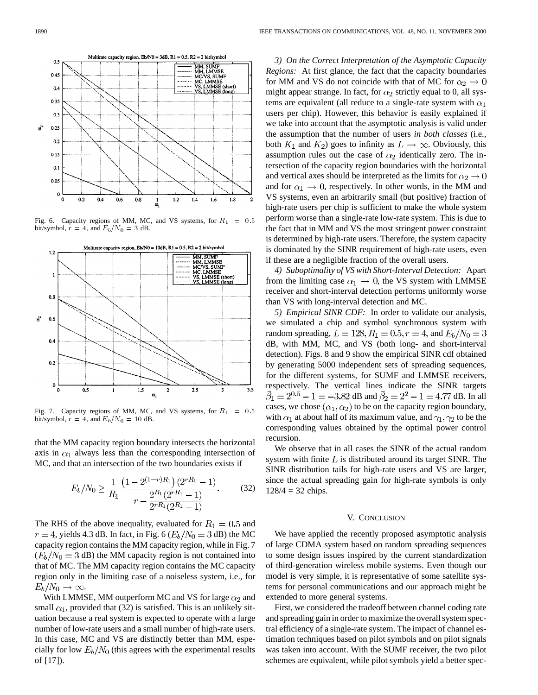

Fig. 6. Capacity regions of MM, MC, and VS systems, for  $R_1 = 0.5$ bit/symbol,  $r = 4$ , and  $E_b/N_0 = 3$  dB.



Fig. 7. Capacity regions of MM, MC, and VS systems, for  $R_1 = 0.5$ bit/symbol,  $r = 4$ , and  $E_b/N_0 = 10$  dB.

that the MM capacity region boundary intersects the horizontal axis in  $\alpha_1$  always less than the corresponding intersection of MC, and that an intersection of the two boundaries exists if

$$
E_b/N_0 \ge \frac{1}{R_1} \frac{\left(1 - 2^{(1-r)R_1}\right)(2^{rR_1} - 1)}{r - \frac{2^{R_1}(2^{rR_1} - 1)}{2^{rR_1}(2^{R_1} - 1)}}.
$$
(32)

The RHS of the above inequality, evaluated for  $R_1 = 0.5$  and  $r = 4$ , yields 4.3 dB. In fact, in Fig. 6 ( $E_b/N_0 = 3$  dB) the MC capacity region contains the MM capacity region, while in Fig. 7  $(E_b/N_0 = 3$  dB) the MM capacity region is not contained into that of MC. The MM capacity region contains the MC capacity region only in the limiting case of a noiseless system, i.e., for  $E_b/N_0 \rightarrow \infty$ .

With LMMSE, MM outperform MC and VS for large  $\alpha_2$  and small  $\alpha_1$ , provided that (32) is satisfied. This is an unlikely situation because a real system is expected to operate with a large number of low-rate users and a small number of high-rate users. In this case, MC and VS are distinctly better than MM, especially for low  $E_b/N_0$  (this agrees with the experimental results of [\[17](#page-13-0)]).

*3) On the Correct Interpretation of the Asymptotic Capacity Regions:* At first glance, the fact that the capacity boundaries for MM and VS do not coincide with that of MC for  $\alpha_2 \rightarrow 0$ might appear strange. In fact, for  $\alpha_2$  strictly equal to 0, all systems are equivalent (all reduce to a single-rate system with  $\alpha_1$ users per chip). However, this behavior is easily explained if we take into account that the asymptotic analysis is valid under the assumption that the number of users *in both classes* (i.e., both  $K_1$  and  $K_2$ ) goes to infinity as  $L \to \infty$ . Obviously, this assumption rules out the case of  $\alpha_2$  identically zero. The intersection of the capacity region boundaries with the horizontal and vertical axes should be interpreted as the limits for  $\alpha_2 \rightarrow 0$ and for  $\alpha_1 \rightarrow 0$ , respectively. In other words, in the MM and VS systems, even an arbitrarily small (but positive) fraction of high-rate users per chip is sufficient to make the whole system perform worse than a single-rate low-rate system. This is due to the fact that in MM and VS the most stringent power constraint is determined by high-rate users. Therefore, the system capacity is dominated by the SINR requirement of high-rate users, even if these are a negligible fraction of the overall users.

*4) Suboptimality of VS with Short-Interval Detection:* Apart from the limiting case  $\alpha_1 \rightarrow 0$ , the VS system with LMMSE receiver and short-interval detection performs uniformly worse than VS with long-interval detection and MC.

*5) Empirical SINR CDF:* In order to validate our analysis, we simulated a chip and symbol synchronous system with random spreading,  $L = 128$ ,  $R_1 = 0.5$ ,  $r = 4$ , and  $E_b/N_0 = 3$ dB, with MM, MC, and VS (both long- and short-interval detection). Figs. 8 and 9 show the empirical SINR cdf obtained by generating 5000 independent sets of spreading sequences, for the different systems, for SUMF and LMMSE receivers, respectively. The vertical lines indicate the SINR targets  $\bar{\beta}_1 = 2^{0.5} - 1 = -3.82$  dB and  $\bar{\beta}_2 = 2^2 - 1 = 4.77$  dB. In all cases, we chose  $(\alpha_1, \alpha_2)$  to be on the capacity region boundary, with  $\alpha_1$  at about half of its maximum value, and  $\gamma_1, \gamma_2$  to be the corresponding values obtained by the optimal power control recursion.

We observe that in all cases the SINR of the actual random system with finite  $L$  is distributed around its target SINR. The SINR distribution tails for high-rate users and VS are larger, since the actual spreading gain for high-rate symbols is only  $128/4 = 32$  chips.

#### V. CONCLUSION

We have applied the recently proposed asymptotic analysis of large CDMA system based on random spreading sequences to some design issues inspired by the current standardization of third-generation wireless mobile systems. Even though our model is very simple, it is representative of some satellite systems for personal communications and our approach might be extended to more general systems.

First, we considered the tradeoff between channel coding rate and spreading gain in order to maximize the overall system spectral efficiency of a single-rate system. The impact of channel estimation techniques based on pilot symbols and on pilot signals was taken into account. With the SUMF receiver, the two pilot schemes are equivalent, while pilot symbols yield a better spec-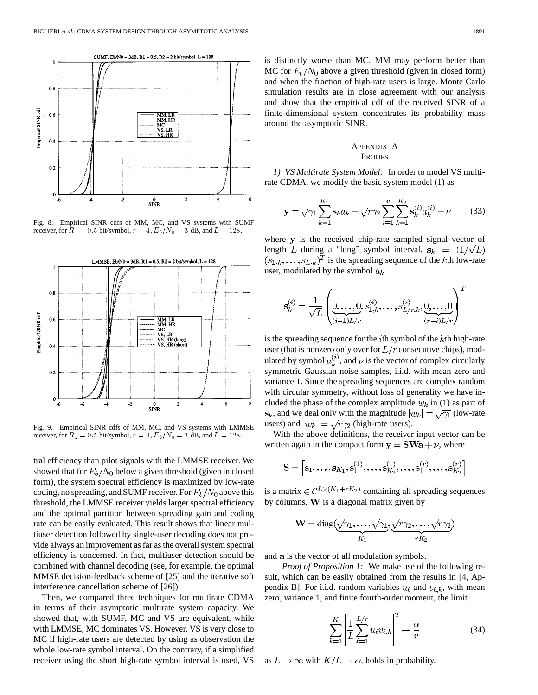

Fig. 8. Empirical SINR cdfs of MM, MC, and VS systems with SUMF receiver, for  $R_1 = 0.5$  bit/symbol,  $r = 4$ ,  $E_b/N_0 = 3$  dB, and  $L = 128$ .



Fig. 9. Empirical SINR cdfs of MM, MC, and VS systems with LMMSE receiver, for  $R_1 = 0.5$  bit/symbol,  $r = 4$ ,  $E_b/N_0 = 3$  dB, and  $L = 128$ .

tral efficiency than pilot signals with the LMMSE receiver. We showed that for  $E_b/N_0$  below a given threshold (given in closed form), the system spectral efficiency is maximized by low-rate coding, no spreading, and SUMF receiver. For  $E_b/N_0$  above this threshold, the LMMSE receiver yields larger spectral efficiency and the optimal partition between spreading gain and coding rate can be easily evaluated. This result shows that linear multiuser detection followed by single-user decoding does not provide always an improvement as far as the overall system spectral efficiency is concerned. In fact, multiuser detection should be combined with channel decoding (see, for example, the optimal MMSE decision-feedback scheme of [[25\]](#page-13-0) and the iterative soft interference cancellation scheme of [\[26](#page-13-0)]).

Then, we compared three techniques for multirate CDMA in terms of their asymptotic multirate system capacity. We showed that, with SUMF, MC and VS are equivalent, while with LMMSE, MC dominates VS. However, VS is very close to MC if high-rate users are detected by using as observation the whole low-rate symbol interval. On the contrary, if a simplified receiver using the short high-rate symbol interval is used, VS is distinctly worse than MC. MM may perform better than MC for  $E_b/N_0$  above a given threshold (given in closed form) and when the fraction of high-rate users is large. Monte Carlo simulation results are in close agreement with our analysis and show that the empirical cdf of the received SINR of a finite-dimensional system concentrates its probability mass around the asymptotic SINR.

# APPENDIX A PROOFS

*1) VS Multirate System Model:* In order to model VS multirate CDMA, we modify the basic system model (1) as

$$
\mathbf{y} = \sqrt{\gamma_1} \sum_{k=1}^{K_1} \mathbf{s}_k a_k + \sqrt{r \gamma_2} \sum_{i=1}^r \sum_{k=1}^{K_2} \mathbf{s}_k^{(i)} a_k^{(i)} + \nu \tag{33}
$$

where y is the received chip-rate sampled signal vector of length L during a "long" symbol interval,  $s_k = (1/\sqrt{L})$  $(s_{1,k},\ldots,s_{L,k})^T$  is the spreading sequence of the kth low-rate user, modulated by the symbol  $a_k$ 

$$
\mathbf{s}_{k}^{(i)} = \frac{1}{\sqrt{L}} \left( \underbrace{0, \ldots, 0}_{(i-1)L/r}, s_{1,k}^{(i)}, \ldots, s_{L/r,k}^{(i)}, \underbrace{0, \ldots, 0}_{(r-i)L/r} \right)^T
$$

is the spreading sequence for the  $i$ th symbol of the  $k$ th high-rate user (that is nonzero only over for  $L/r$  consecutive chips), modulated by symbol  $a_k^{(i)}$ , and  $\nu$  is the vector of complex circularly symmetric Gaussian noise samples, i.i.d. with mean zero and variance 1. Since the spreading sequences are complex random with circular symmetry, without loss of generality we have included the phase of the complex amplitude  $w_k$  in (1) as part of  $s_k$ , and we deal only with the magnitude  $|w_k| = \sqrt{\gamma_1}$  (low-rate users) and  $|w_k| = \sqrt{r\gamma_2}$  (high-rate users).

With the above definitions, the receiver input vector can be written again in the compact form  $y = SWa + \nu$ , where

$$
\mathbf{S} = \left[\mathbf{s}_1, \ldots, \mathbf{s}_{K_1}, \mathbf{s}_1^{(1)}, \ldots, \mathbf{s}_{K_2}^{(1)}, \ldots, \mathbf{s}_1^{(r)}, \ldots, \mathbf{s}_{K_2}^{(r)}\right]
$$

is a matrix  $\in \mathcal{C}^{L\times (K_1+rK_2)}$  containing all spreading sequences by columns,  $W$  is a diagonal matrix given by

$$
\mathbf{W} = \mathrm{diag}(\underbrace{\sqrt{\gamma_1}, \dots, \sqrt{\gamma_1}}_{K_1}, \underbrace{\sqrt{r\gamma_2}, \dots, \sqrt{r\gamma_2}}_{rK_2})
$$

and a is the vector of all modulation symbols.

*Proof of Proposition 1:* We make use of the following result, which can be easily obtained from the results in [[4,](#page-13-0) Appendix B]. For i.i.d. random variables  $u_{\ell}$  and  $v_{\ell,k}$ , with mean zero, variance 1, and finite fourth-order moment, the limit

$$
\sum_{k=1}^{K} \left| \frac{1}{L} \sum_{\ell=1}^{L/r} u_{\ell} v_{\ell,k} \right|^{2} \to \frac{\alpha}{r}
$$
 (34)

as  $L \to \infty$  with  $K/L \to \alpha$ , holds in probability.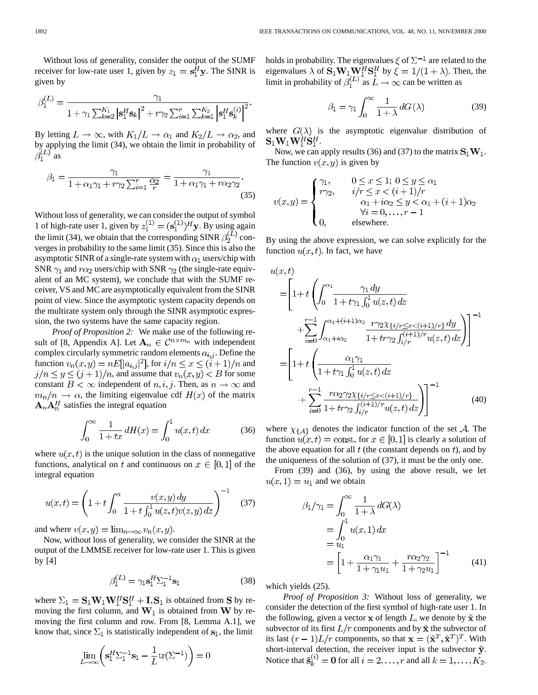Without loss of generality, consider the output of the SUMF receiver for low-rate user 1, given by  $z_1 = s_1^H y$ . The SINR is given by

$$
\beta_1^{(L)} = \frac{\gamma_1}{1 + \gamma_1 \sum_{k=2}^{K_1} |\mathbf{s}_1^H \mathbf{s}_k|^2 + r \gamma_2 \sum_{i=1}^r \sum_{k=1}^{K_2} |\mathbf{s}_1^H \mathbf{s}_k^{(i)}|^2}.
$$

By letting  $L \to \infty$ , with  $K_1/L \to \alpha_1$  and  $K_2/L \to \alpha_2$ , and by applying the limit (34), we obtain the limit in probability of  $\beta_1^{(L)}$  as

$$
\beta_1 = \frac{\gamma_1}{1 + \alpha_1 \gamma_1 + r \gamma_2 \sum_{i=1}^r \frac{\alpha_2}{r}} = \frac{\gamma_1}{1 + \alpha_1 \gamma_1 + r \alpha_2 \gamma_2}.
$$
\n(35)

Without loss of generality, we can consider the output of symbol 1 of high-rate user 1, given by  $z_1^{(1)} = (\mathbf{s}_1^{(1)})^H \mathbf{y}$ . By using again the limit (34), we obtain that the corresponding SINR  $\beta_2^{(L)}$  converges in probability to the same limit (35). Since this is also the asymptotic SINR of a single-rate system with  $\alpha_1$  users/chip with SNR  $\gamma_1$  and  $r\alpha_2$  users/chip with SNR  $\gamma_2$  (the single-rate equivalent of an MC system), we conclude that with the SUMF receiver, VS and MC are asymptotically equivalent from the SINR point of view. Since the asymptotic system capacity depends on the multirate system only through the SINR asymptotic expression, the two systems have the same capacity region.

*Proof of Proposition 2:* We make use of the following re-sult of [\[8](#page-13-0), Appendix A]. Let  $A_n \in C^{n \times m_n}$  with independent complex circularly symmetric random elements  $a_{i,j}$ . Define the function  $v_n(x, y) = nE[|a_{i,j}|^2]$ , for  $i/n \leq x \leq (i+1)/n$  and  $j/n \leq y \leq (j+1)/n$ , and assume that  $v_n(x, y) < B$  for some constant  $B < \infty$  independent of  $n, i, j$ . Then, as  $n \to \infty$  and  $m_n/n \to \alpha$ , the limiting eigenvalue cdf  $H(x)$  of the matrix  $A_nA_n^H$  satisfies the integral equation

$$
\int_0^\infty \frac{1}{1+tx} \, dH(x) = \int_0^1 u(x, t) \, dx \tag{36}
$$

where  $u(x, t)$  is the unique solution in the class of nonnegative functions, analytical on t and continuous on  $x \in [0,1]$  of the integral equation

$$
u(x,t) = \left(1 + t \int_0^{\alpha} \frac{v(x,y) dy}{1 + t \int_0^1 u(z,t)v(z,y) dz}\right)^{-1}
$$
 (37)

and where  $v(x, y) = \lim_{n \to \infty} v_n(x, y)$ .

Now, without loss of generality, we consider the SINR at the output of the LMMSE receiver for low-rate user 1. This is given by [[4\]](#page-13-0)

$$
\beta_1^{(L)} = \gamma_1 \mathbf{s}_1^H \Sigma_1^{-1} \mathbf{s}_1 \tag{38}
$$

where  $\Sigma_1 = \mathbf{S}_1 \mathbf{W}_1 \mathbf{W}_1^H \mathbf{S}_1^H + \mathbf{I}, \mathbf{S}_1$  is obtained from S by removing the first column, and  $W_1$  is obtained from W by removing the first column and row. From [[8,](#page-13-0) Lemma A.1], we know that, since  $\Sigma_1$  is statistically independent of  $s_1$ , the limit

$$
\lim_{L \to \infty} \left( \mathbf{s}_1^H \Sigma_1^{-1} \mathbf{s}_1 - \frac{1}{L} \text{tr}(\Sigma^{-1}) \right) = 0
$$

holds in probability. The eigenvalues  $\zeta$  of  $\Sigma^{-1}$  are related to the eigenvalues  $\lambda$  of  $\mathbf{S}_1 \mathbf{W}_1 \mathbf{W}_1^H \mathbf{S}_1^H$  by  $\xi = 1/(1 + \lambda)$ . Then, the limit in probability of  $\beta_1^{(L)}$  as  $L \to \infty$  can be written as

$$
\beta_1 = \gamma_1 \int_0^\infty \frac{1}{1+\lambda} \, dG(\lambda) \tag{39}
$$

where  $G(\lambda)$  is the asymptotic eigenvalue distribution of  $\mathbf{S}_1 \mathbf{W}_1 \mathbf{W}_1^H \mathbf{S}_1^H$ .

Now, we can apply results (36) and (37) to the matrix  $S_1W_1$ . The function  $v(x, y)$  is given by

$$
v(x,y) = \begin{cases} \gamma_1, & 0 \le x \le 1; \ 0 \le y \le \alpha_1 \\ r\gamma_2, & i/r \le x < (i+1)/r \\ & \alpha_1 + i\alpha_2 \le y < \alpha_1 + (i+1)\alpha_2 \\ & \forall i = 0, \dots, r-1 \\ 0, & \text{elsewhere.} \end{cases}
$$

By using the above expression, we can solve explicitly for the function  $u(x, t)$ . In fact, we have

$$
u(x,t)
$$
\n
$$
= \left[1+t\left(\int_0^{\alpha_1} \frac{\gamma_1 dy}{1+t\gamma_1 \int_0^1 u(z,t) dz} + \sum_{i=0}^{r-1} \int_{\alpha_1+i\alpha_2}^{\alpha_1+(i+1)\alpha_2} \frac{r\gamma_2 \chi_{\{i/r \le x < (i+1)/r\}} dy}{1+tr\gamma_2 \int_{i/r}^{(i+1)/r} u(z,t) dz}\right)\right]^{-1}
$$
\n
$$
= \left[1+t\left(\frac{\alpha_1\gamma_1}{1+t\gamma_1 \int_0^1 u(z,t) dz} + \sum_{i=0}^{r-1} \frac{r\alpha_2\gamma_2\chi_{\{i/r \le x < (i+1)/r\}}}{1+tr\gamma_2 \int_{i/r}^{(i+1)/r} u(z,t) dz}\right)\right]^{-1} \tag{40}
$$

where  $\chi_{\{A\}}$  denotes the indicator function of the set A. The function  $u(x,t) = \text{const.}$  for  $x \in [0,1]$  is clearly a solution of the above equation for all  $t$  (the constant depends on  $t$ ), and by the uniqueness of the solution of (37), it must be the only one.

From (39) and (36), by using the above result, we let  $u(x,1) = u_1$  and we obtain

$$
\beta_1/\gamma_1 = \int_0^\infty \frac{1}{1+\lambda} dG(\lambda)
$$
  
= 
$$
\int_0^1 u(x,1) dx
$$
  
= 
$$
u_1
$$
  
= 
$$
\left[1 + \frac{\alpha_1 \gamma_1}{1+\gamma_1 u_1} + \frac{r \alpha_2 \gamma_2}{1+\gamma_2 u_1}\right]^{-1}
$$
 (41)

which yields (25).

*Proof of Proposition 3:* Without loss of generality, we consider the detection of the first symbol of high-rate user 1. In the following, given a vector  $x$  of length  $L$ , we denote by  $\tilde{x}$  the subvector of its first  $L/r$  components and by  $\hat{\mathbf{x}}$  the subvector of its last  $(r-1)L/r$  components, so that  $\mathbf{x} = (\tilde{\mathbf{x}}^T, \hat{\mathbf{x}}^T)^T$ . With short-interval detection, the receiver input is the subvector  $\tilde{y}$ . Notice that  $\tilde{\mathbf{s}}_k^{(i)} = \mathbf{0}$  for all  $i = 2, \dots, r$  and all  $k = 1, \dots, K_2$ .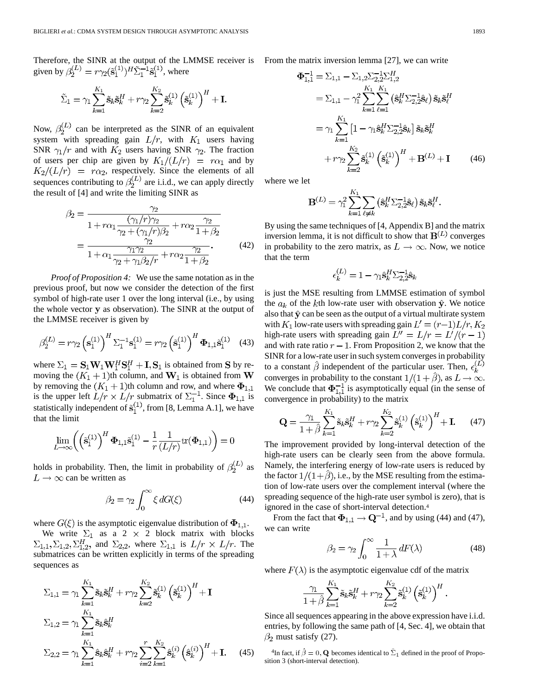Therefore, the SINR at the output of the LMMSE receiver is given by  $\beta_2^{(L)} = r \gamma_2(\tilde{\mathbf{s}}_1^{(1)})^H \tilde{\Sigma}_1^{-1} \tilde{\mathbf{s}}_1^{(1)}$ , where

$$
\tilde{\Sigma}_1 = \gamma_1 \sum_{k=1}^{K_1} \tilde{\mathbf{s}}_k \tilde{\mathbf{s}}_k^H + r \gamma_2 \sum_{k=2}^{K_2} \tilde{\mathbf{s}}_k^{(1)} \left( \tilde{\mathbf{s}}_k^{(1)} \right)^H + \mathbf{I}
$$

Now,  $\beta_2^{(L)}$  can be interpreted as the SINR of an equivalent system with spreading gain  $L/r$ , with  $K_1$  users having SNR  $\gamma_1/r$  and with  $K_2$  users having SNR  $\gamma_2$ . The fraction of users per chip are given by  $K_1/(L/r) = r\alpha_1$  and by , respectively. Since the elements of all sequences contributing to  $\beta_2^{(L)}$  are i.i.d., we can apply directly the result of [[4\]](#page-13-0) and write the limiting SINR as

$$
\beta_2 = \frac{\gamma_2}{1 + r\alpha_1 \frac{(\gamma_1/r)\gamma_2}{\gamma_2 + (\gamma_1/r)\beta_2} + r\alpha_2 \frac{\gamma_2}{1 + \beta_2}} = \frac{\frac{\gamma_2}{\gamma_2}}{1 + \alpha_1 \frac{\gamma_1 \gamma_2}{\gamma_2 + \gamma_1 \beta_2/r} + r\alpha_2 \frac{\gamma_2}{1 + \beta_2}}.
$$
\n(42)

*Proof of Proposition 4:* We use the same notation as in the previous proof, but now we consider the detection of the first symbol of high-rate user 1 over the long interval (i.e., by using the whole vector y as observation). The SINR at the output of the LMMSE receiver is given by

$$
\beta_2^{(L)} = r\gamma_2 \left(\mathbf{s}_1^{(1)}\right)^H \Sigma_1^{-1} \mathbf{s}_1^{(1)} = r\gamma_2 \left(\tilde{\mathbf{s}}_1^{(1)}\right)^H \mathbf{\Phi}_{1,1} \tilde{\mathbf{s}}_1^{(1)} \quad (43)
$$

where  $\Sigma_1 = \mathbf{S}_1 \mathbf{W}_1 \mathbf{W}_1^H \mathbf{S}_1^H + \mathbf{I}, \mathbf{S}_1$  is obtained from **S** by removing the  $(K_1 + 1)$ th column, and  $W_1$  is obtained from W by removing the  $(K_1 + 1)$ th column and row, and where  $\Phi_{1,1}$ is the upper left  $L/r \times L/r$  submatrix of  $\Sigma_1^{-1}$ . Since  $\Phi_{1,1}$  is statistically independent of  $\tilde{\mathbf{s}}_1^{\setminus 1}$ , from [[8,](#page-13-0) Lemma A.1], we have that the limit

$$
\lim_{L \to \infty} \left( \left( \tilde{\mathbf{s}}_1^{(1)} \right)^H \mathbf{\Phi}_{1,1} \tilde{\mathbf{s}}_1^{(1)} - \frac{1}{r} \frac{1}{(L/r)} \text{tr}(\mathbf{\Phi}_{1,1}) \right) = 0
$$

holds in probability. Then, the limit in probability of  $\beta_2^{(L)}$  as  $L \rightarrow \infty$  can be written as

$$
\beta_2 = \gamma_2 \int_0^\infty \xi \, dG(\xi) \tag{44}
$$

where  $G(\xi)$  is the asymptotic eigenvalue distribution of  $\Phi_{1,1}$ .

We write  $\Sigma_1$  as a 2  $\times$  2 block matrix with blocks  $\Sigma_{1,1}, \Sigma_{1,2}, \Sigma_{1,2}^H$ , and  $\Sigma_{2,2}$ , where  $\Sigma_{1,1}$  is  $L/r \times L/r$ . The submatrices can be written explicitly in terms of the spreading sequences as

$$
\Sigma_{1,1} = \gamma_1 \sum_{k=1}^{K_1} \tilde{\mathbf{s}}_k \tilde{\mathbf{s}}_k^H + r \gamma_2 \sum_{k=2}^{K_2} \tilde{\mathbf{s}}_k^{(1)} \left(\tilde{\mathbf{s}}_k^{(1)}\right)^H + \mathbf{I}
$$
  
\n
$$
\Sigma_{1,2} = \gamma_1 \sum_{k=1}^{K_1} \tilde{\mathbf{s}}_k \hat{\mathbf{s}}_k^H
$$
  
\n
$$
\Sigma_{2,2} = \gamma_1 \sum_{k=1}^{K_1} \hat{\mathbf{s}}_k \hat{\mathbf{s}}_k^H + r \gamma_2 \sum_{i=2}^r \sum_{k=1}^{K_2} \hat{\mathbf{s}}_k^{(i)} \left(\hat{\mathbf{s}}_k^{(i)}\right)^H + \mathbf{I}.
$$
 (45)

From the matrix inversion lemma [[27\]](#page-13-0), we can write

$$
\Phi_{1,1}^{-1} = \Sigma_{1,1} - \Sigma_{1,2} \Sigma_{2,2}^{-1} \Sigma_{1,2}^{H}
$$
\n
$$
= \Sigma_{1,1} - \gamma_1^2 \sum_{k=1}^{K_1} \sum_{\ell=1}^{K_1} (\hat{\mathbf{s}}_k^{H} \Sigma_{2,2}^{-1} \hat{\mathbf{s}}_{\ell}) \tilde{\mathbf{s}}_k \tilde{\mathbf{s}}_{\ell}^{H}
$$
\n
$$
= \gamma_1 \sum_{k=1}^{K_1} \left[ 1 - \gamma_1 \hat{\mathbf{s}}_k^{H} \Sigma_{2,2}^{-1} \hat{\mathbf{s}}_k \right] \tilde{\mathbf{s}}_k \tilde{\mathbf{s}}_k^{H}
$$
\n
$$
+ r \gamma_2 \sum_{k=2}^{K_2} \tilde{\mathbf{s}}_k^{(1)} \left( \tilde{\mathbf{s}}_k^{(1)} \right)^{H} + \mathbf{B}^{(L)} + \mathbf{I} \qquad (46)
$$

where we let

$$
\mathbf{B}^{(L)} = \gamma_1^2 \sum_{k=1}^{K_1} \sum_{\ell \neq k} \left( \hat{\mathbf{s}}_k^H \Sigma_{2,2}^{-1} \hat{\mathbf{s}}_\ell \right) \tilde{\mathbf{s}}_k \tilde{\mathbf{s}}_\ell^H.
$$

By using the same techniques of [\[4](#page-13-0), Appendix B] and the matrix inversion lemma, it is not difficult to show that  $B^{(L)}$  converges in probability to the zero matrix, as  $L \to \infty$ . Now, we notice that the term

$$
\epsilon_k^{(L)} = 1 - \gamma_1 \hat{\mathbf{s}}_k^H \Sigma_{2,2}^{-1} \hat{\mathbf{s}}_k
$$

is just the MSE resulting from LMMSE estimation of symbol the  $a_k$  of the k<sup>th</sup> low-rate user with observation  $\hat{y}$ . We notice also that  $\hat{y}$  can be seen as the output of a virtual multirate system with  $K_1$  low-rate users with spreading gain  $L' = (r-1)L/r, K_2$ high-rate users with spreading gain  $L'' = L/r = L'(r-1)$ and with rate ratio  $r - 1$ . From Proposition 2, we know that the SINR for a low-rate user in such system converges in probability to a constant  $\hat{\beta}$  independent of the particular user. Then,  $\epsilon_k^{(L)}$ converges in probability to the constant  $1/(1+\hat{\beta})$ , as  $L \to \infty$ . We conclude that  $\Phi_{1,1}^{-1}$  is asymptotically equal (in the sense of convergence in probability) to the matrix

$$
\mathbf{Q} = \frac{\gamma_1}{1+\hat{\beta}} \sum_{k=1}^{K_1} \tilde{\mathbf{s}}_k \tilde{\mathbf{s}}_k^H + r\gamma_2 \sum_{k=2}^{K_2} \tilde{\mathbf{s}}_k^{(1)} \left(\tilde{\mathbf{s}}_k^{(1)}\right)^H + \mathbf{I}.
$$
 (47)

The improvement provided by long-interval detection of the high-rate users can be clearly seen from the above formula. Namely, the interfering energy of low-rate users is reduced by the factor  $1/(1+\hat{\beta})$ , i.e., by the MSE resulting from the estimation of low-rate users over the complement interval (where the spreading sequence of the high-rate user symbol is zero), that is ignored in the case of short-interval detection.4

From the fact that  $\Phi_{1,1} \rightarrow \mathbf{Q}^{-1}$ , and by using (44) and (47), we can write

$$
\beta_2 = \gamma_2 \int_0^\infty \frac{1}{1+\lambda} \, dF(\lambda) \tag{48}
$$

where  $F(\lambda)$  is the asymptotic eigenvalue cdf of the matrix

$$
\frac{\gamma_1}{1+\hat{\beta}}\sum_{k=1}^{K_1}\tilde{\mathbf{s}}_k\tilde{\mathbf{s}}_k^H+r\gamma_2\sum_{k=2}^{K_2}\tilde{\mathbf{s}}_k^{(1)}\left(\tilde{\mathbf{s}}_k^{(1)}\right)^H.
$$

Since all sequences appearing in the above expression have i.i.d. entries, by following the same path of [[4,](#page-13-0) Sec. 4], we obtain that  $\beta_2$  must satisfy (27).

<sup>4</sup>In fact, if  $\hat{\beta} = 0$ , **Q** becomes identical to  $\bar{\Sigma}_1$  defined in the proof of Proposition 3 (short-interval detection).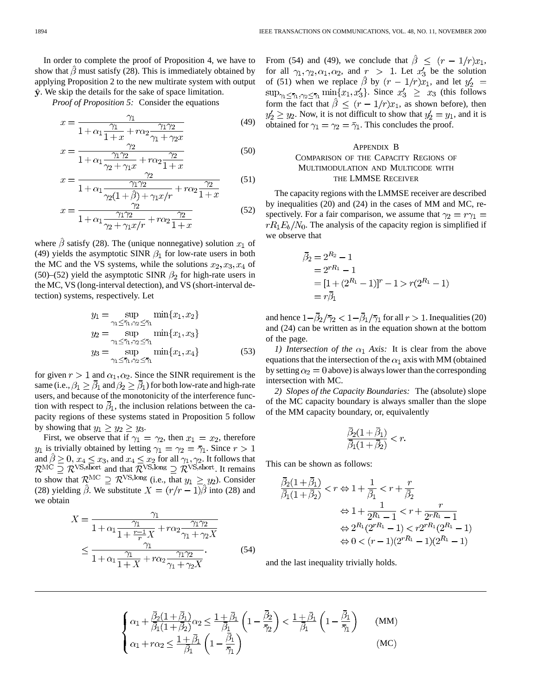In order to complete the proof of Proposition 4, we have to show that  $\hat{\beta}$  must satisfy (28). This is immediately obtained by applying Proposition 2 to the new multirate system with output  $\hat{y}$ . We skip the details for the sake of space limitation.

*Proof of Proposition 5:* Consider the equations

$$
x = \frac{\gamma_1}{1 + \alpha_1 \frac{\gamma_1}{1 + x} + r\alpha_2 \frac{\gamma_1 \gamma_2}{\gamma_1 + \gamma_2 x}}
$$
(49)

$$
x = \frac{\gamma_2}{1 + \alpha_1 \frac{\gamma_1 \gamma_2}{\gamma_2 + \gamma_1 x} + r \alpha_2 \frac{\gamma_2}{1 + x}}
$$
(50)

$$
x = \frac{\gamma_2}{1 + \alpha_1 \frac{\gamma_1 \gamma_2}{\gamma_2 (1 + \hat{\beta}) + \gamma_1 x / r} + r \alpha_2 \frac{\gamma_2}{1 + x}}
$$
(51)

$$
x = \frac{\gamma_2}{1 + \alpha_1 \frac{\gamma_1 \gamma_2}{\gamma_2 + \gamma_1 x/r} + r \alpha_2 \frac{\gamma_2}{1 + x}}
$$
(52)

where  $\beta$  satisfy (28). The (unique nonnegative) solution  $x_1$  of (49) yields the asymptotic SINR  $\beta_1$  for low-rate users in both the MC and the VS systems, while the solutions  $x_2, x_3, x_4$  of (50)–(52) yield the asymptotic SINR  $\beta_2$  for high-rate users in the MC, VS (long-interval detection), and VS (short-interval detection) systems, respectively. Let

$$
y_1 = \sup_{\gamma_1 \le \bar{\gamma}_1, \gamma_2 \le \bar{\gamma}_1} \min\{x_1, x_2\}
$$
  
\n
$$
y_2 = \sup_{\gamma_1 \le \bar{\gamma}_1, \gamma_2 \le \bar{\gamma}_1} \min\{x_1, x_3\}
$$
  
\n
$$
y_3 = \sup_{\gamma_1 \le \bar{\gamma}_1, \gamma_2 \le \bar{\gamma}_1} \min\{x_1, x_4\}
$$
 (53)

for given  $r > 1$  and  $\alpha_1, \alpha_2$ . Since the SINR requirement is the same (i.e.,  $\beta_1 \geq \overline{\beta}_1$  and  $\beta_2 \geq \overline{\beta}_1$ ) for both low-rate and high-rate users, and because of the monotonicity of the interference function with respect to  $\bar{\beta}_1$ , the inclusion relations between the capacity regions of these systems stated in Proposition 5 follow by showing that  $y_1 \ge y_2 \ge y_3$ .

First, we observe that if  $\gamma_1 = \gamma_2$ , then  $x_1 = x_2$ , therefore  $y_1$  is trivially obtained by letting  $\gamma_1 = \gamma_2 = \overline{\gamma}_1$ . Since  $r > 1$ and  $\beta \geq 0$ ,  $x_4 \leq x_3$ , and  $x_4 \leq x_2$  for all  $\gamma_1, \gamma_2$ . It follows that and that  $\mathcal{R}^{\text{VS,long}} \supseteq \mathcal{R}^{\text{VS,short}}$ . It remains to show that  $\mathcal{R}^{\text{MC}} \supseteq \mathcal{R}^{\text{VS,long}}$  (i.e., that  $y_1 \geq y_2$ ). Consider (28) yielding  $\hat{\beta}$ . We substitute  $X = (r/r - 1)\hat{\beta}$  into (28) and we obtain

$$
X = \frac{\gamma_1}{1 + \alpha_1 \frac{\gamma_1}{1 + \frac{r-1}{r}X} + r\alpha_2 \frac{\gamma_1 \gamma_2}{\gamma_1 + \gamma_2 X}}
$$
  
 
$$
\leq \frac{\gamma_1}{1 + \alpha_1 \frac{\gamma_1}{1 + X} + r\alpha_2 \frac{\gamma_1 \gamma_2}{\gamma_1 + \gamma_2 X}}.
$$
 (54)

From (54) and (49), we conclude that  $\hat{\beta} \leq (r - 1/r)x_1$ , for all  $\gamma_1, \gamma_2, \alpha_1, \alpha_2$ , and  $r > 1$ . Let  $x'_3$  be the solution of (51) when we replace  $\hat{\beta}$  by  $(r - 1/r)x_1$ , and let  $y_2' =$  $\sup_{\gamma_1 \leq \bar{\gamma}_1, \gamma_2 \leq \bar{\gamma}_1} \min\{x_1, x_3'\}$ . Since  $x_3' \geq x_3$  (this follows form the fact that  $\hat{\beta} \leq (r - 1/r)x_1$ , as shown before), then  $y'_2 \ge y_2$ . Now, it is not difficult to show that  $y'_2 = y_1$ , and it is obtained for  $\gamma_1 = \gamma_2 = \overline{\gamma}_1$ . This concludes the proof.

# APPENDIX B COMPARISON OF THE CAPACITY REGIONS OF MULTIMODULATION AND MULTICODE WITH THE LMMSE RECEIVER

The capacity regions with the LMMSE receiver are described by inequalities (20) and (24) in the cases of MM and MC, respectively. For a fair comparison, we assume that  $\gamma_2 = r \gamma_1 =$  $rR_1E_b/N_0$ . The analysis of the capacity region is simplified if we observe that

$$
\begin{aligned} \bar{\beta}_2 &= 2^{R_2} - 1 \\ &= 2^{rR_1} - 1 \\ &= [1 + (2^{R_1} - 1)]^r - 1 > r(2^{R_1} - 1) \\ &= r\bar{\beta}_1 \end{aligned}
$$

and hence  $1-\overline{\beta}_2/\overline{\gamma}_2 < 1-\overline{\beta}_1/\overline{\gamma}_1$  for all  $r > 1$ . Inequalities (20) and (24) can be written as in the equation shown at the bottom of the page.

*1) Intersection of the*  $\alpha_1$  *Axis:* It is clear from the above equations that the intersection of the  $\alpha_1$  axis with MM (obtained by setting  $\alpha_2 = 0$  above) is always lower than the corresponding intersection with MC.

*2) Slopes of the Capacity Boundaries:* The (absolute) slope of the MC capacity boundary is always smaller than the slope of the MM capacity boundary, or, equivalently

$$
\frac{\overline{\beta}_2(1+\overline{\beta}_1)}{\overline{\beta}_1(1+\overline{\beta}_2)} < r
$$

This can be shown as follows:

$$
\frac{\bar{\beta}_2(1+\bar{\beta}_1)}{\bar{\beta}_1(1+\bar{\beta}_2)} < r \Leftrightarrow 1 + \frac{1}{\bar{\beta}_1} < r + \frac{r}{\bar{\beta}_2} \\
\Leftrightarrow 1 + \frac{1}{2R_1 - 1} < r + \frac{r}{2rR_1 - 1} \\
\Leftrightarrow 2^{R_1}(2^{rR_1} - 1) < r2^{rR_1}(2^{R_1} - 1) \\
\Leftrightarrow 0 < (r - 1)(2^{rR_1} - 1)(2^{R_1} - 1)
$$

and the last inequality trivially holds.

$$
\begin{cases}\n\alpha_1 + \frac{\overline{\beta}_2(1+\overline{\beta}_1)}{\overline{\beta}_1(1+\overline{\beta}_2)}\alpha_2 \le \frac{1+\overline{\beta}_1}{\overline{\beta}_1} \left(1 - \frac{\overline{\beta}_2}{\overline{\gamma}_2}\right) < \frac{1+\overline{\beta}_1}{\overline{\beta}_1} \left(1 - \frac{\overline{\beta}_1}{\overline{\gamma}_1}\right) \\
\alpha_1 + r\alpha_2 \le \frac{1+\overline{\beta}_1}{\overline{\beta}_1} \left(1 - \frac{\overline{\beta}_1}{\overline{\gamma}_1}\right)\n\end{cases} \tag{MC}
$$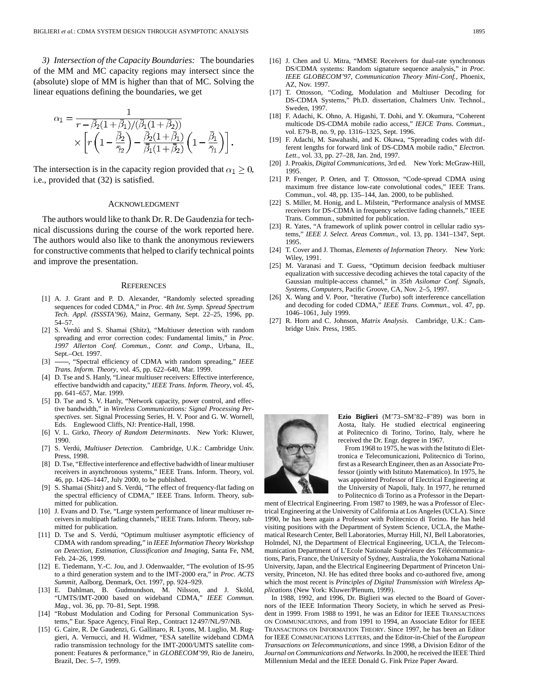<span id="page-13-0"></span>*3) Intersection of the Capacity Boundaries:* The boundaries of the MM and MC capacity regions may intersect since the (absolute) slope of MM is higher than that of MC. Solving the linear equations defining the boundaries, we get

$$
\alpha_1 = \frac{1}{r - \bar{\beta}_2(1 + \bar{\beta}_1)/(\bar{\beta}_1(1 + \bar{\beta}_2))} \times \left[ r \left( 1 - \frac{\bar{\beta}_2}{\bar{\gamma}_2} \right) - \frac{\bar{\beta}_2(1 + \bar{\beta}_1)}{\bar{\beta}_1(1 + \bar{\beta}_2)} \left( 1 - \frac{\bar{\beta}_1}{\bar{\gamma}_1} \right) \right].
$$

The intersection is in the capacity region provided that  $\alpha_1 \geq 0$ , i.e., provided that (32) is satisfied.

#### ACKNOWLEDGMENT

The authors would like to thank Dr. R. De Gaudenzia for technical discussions during the course of the work reported here. The authors would also like to thank the anonymous reviewers for constructive comments that helped to clarify technical points and improve the presentation.

#### **REFERENCES**

- [1] A. J. Grant and P. D. Alexander, "Randomly selected spreading sequences for coded CDMA," in *Proc. 4th Int. Symp. Spread Spectrum Tech. Appl. (ISSSTA'96)*, Mainz, Germany, Sept. 22–25, 1996, pp. 54–57.
- [2] S. Verdú and S. Shamai (Shitz), "Multiuser detection with random spreading and error correction codes: Fundamental limits," in *Proc. 1997 Allerton Conf. Commun., Contr. and Comp.*, Urbana, IL, Sept.–Oct. 1997.
- [3]  $\rightarrow$  "Spectral efficiency of CDMA with random spreading," *IEEE Trans. Inform. Theory*, vol. 45, pp. 622–640, Mar. 1999.
- [4] D. Tse and S. Hanly, "Linear multiuser receivers: Effective interference, effective bandwidth and capacity," *IEEE Trans. Inform. Theory*, vol. 45, pp. 641–657, Mar. 1999.
- [5]  $\overrightarrow{D}$ . Tse and S. V. Hanly, "Network capacity, power control, and effective bandwidth," in *Wireless Communications: Signal Processing Perspectives*. ser. Signal Processing Series, H. V. Poor and G. W. Wornell, Eds. Englewood Cliffs, NJ: Prentice-Hall, 1998.
- [6] V. L. Girko, *Theory of Random Determinants*. New York: Kluwer, 1990.
- [7] S. Verdú, *Multiuser Detection*. Cambridge, U.K.: Cambridge Univ. Press, 1998.
- [8] D. Tse, "Effective interference and effective badwidth of linear multiuser receivers in asynchronous systems," IEEE Trans. Inform. Theory, vol. 46, pp. 1426–1447, July 2000, to be published.
- S. Shamai (Shitz) and S. Verdú, "The effect of frequency-flat fading on the spectral efficiency of CDMA," IEEE Trans. Inform. Theory, submitted for publication.
- [10] J. Evans and D. Tse, "Large system performance of linear multiuser receivers in multipath fading channels," IEEE Trans. Inform. Theory, submitted for publication.
- [11] D. Tse and S. Verdú, "Optimum multiuser asymptotic efficiency of CDMA with random spreading," in *IEEE Information Theory Workshop on Detection, Estimation, Classification and Imaging*, Santa Fe, NM, Feb. 24–26, 1999.
- [12] E. Tiedemann, Y.-C. Jou, and J. Odenwaalder, "The evolution of IS-95 to a third generation system and to the IMT-2000 era," in *Proc. ACTS Summit*, Aalborg, Denmark, Oct. 1997, pp. 924–929.
- [13] E. Dahlman, B. Gudmundson, M. Nilsson, and J. Sköld, "UMTS/IMT-2000 based on wideband CDMA," *IEEE Commun. Mag.*, vol. 36, pp. 70–81, Sept. 1998.
- [14] "Robust Modulation and Coding for Personal Communication Systems," Eur. Space Agency, Final Rep., Contract 12 497/NL/97/NB.
- [15] G. Caire, R. De Gaudenzi, G. Gallinaro, R. Lyons, M. Luglio, M. Ruggieri, A. Vernucci, and H. Widmer, "ESA satellite wideband CDMA radio transmission technology for the IMT-2000/UMTS satellite component: Features & performance," in *GLOBECOM'99*, Rio de Janeiro, Brazil, Dec. 5–7, 1999.
- [16] J. Chen and U. Mitra, "MMSE Receivers for dual-rate synchronous DS/CDMA systems: Random signature sequence analysis," in *Proc. IEEE GLOBECOM'97, Communication Theory Mini-Conf.*, Phoenix, AZ, Nov. 1997.
- [17] T. Ottosson, "Coding, Modulation and Multiuser Decoding for DS-CDMA Systems," Ph.D. dissertation, Chalmers Univ. Technol., Sweden, 1997.
- [18] F. Adachi, K. Ohno, A. Higashi, T. Dohi, and Y. Okumura, "Coherent multicode DS-CDMA mobile radio access," *IEICE Trans. Commun.*, vol. E79-B, no. 9, pp. 1316–1325, Sept. 1996.
- [19] F. Adachi, M. Sawahashi, and K. Okawa, "Spreading codes with different lengths for forward link of DS-CDMA mobile radio," *Electron. Lett.*, vol. 33, pp. 27–28, Jan. 2nd, 1997.
- [20] J. Proakis, *Digital Communications*, 3rd ed. New York: McGraw-Hill, 1995.
- [21] P. Frenger, P. Orten, and T. Ottosson, "Code-spread CDMA using maximum free distance low-rate convolutional codes," IEEE Trans. Commun., vol. 48, pp. 135–144, Jan. 2000, to be published.
- [22] S. Miller, M. Honig, and L. Milstein, "Performance analysis of MMSE receivers for DS-CDMA in frequency selective fading channels," IEEE Trans. Commun., submitted for publication.
- [23] R. Yates, "A framework of uplink power control in cellular radio systems," *IEEE J. Select. Areas Commun.*, vol. 13, pp. 1341–1347, Sept. 1995.
- [24] T. Cover and J. Thomas, *Elements of Information Theory*. New York: Wiley, 1991.
- [25] M. Varanasi and T. Guess, "Optimum decision feedback multiuser equalization with successive decoding achieves the total capacity of the Gaussian multiple-access channel," in *35th Asilomar Conf. Signals, Systems, Computers*, Pacific Groove, CA, Nov. 2–5, 1997.
- [26] X. Wang and V. Poor, "Iterative (Turbo) soft interference cancellation and decoding for coded CDMA," *IEEE Trans. Commun.*, vol. 47, pp. 1046–1061, July 1999.
- [27] R. Horn and C. Johnson, *Matrix Analysis*. Cambridge, U.K.: Cambridge Univ. Press, 1985.



**Ezio Biglieri** (M'73–SM'82–F'89) was born in Aosta, Italy. He studied electrical engineering at Politecnico di Torino, Torino, Italy, where he received the Dr. Engr. degree in 1967.

From 1968 to 1975, he was with the Istituto di Elettronica e Telecomunicazioni, Politecnico di Torino, first as a Research Engineer, then as an Associate Professor (jointly with Istituto Matematico). In 1975, he was appointed Professor of Electrical Engineering at the University of Napoli, Italy. In 1977, he returned to Politecnico di Torino as a Professor in the Depart-

ment of Electrical Engineering. From 1987 to 1989, he was a Professor of Electrical Engineering at the University of California at Los Angeles (UCLA). Since 1990, he has been again a Professor with Politecnico di Torino. He has held visiting positions with the Department of System Science, UCLA, the Mathematical Research Center, Bell Laboratories, Murray Hill, NJ, Bell Laboratories, Holmdel, NJ, the Department of Electrical Engineering, UCLA, the Telecommunication Department of L'Ecole Nationale Supérieure des Télécommunications, Paris, France, the University of Sydney, Australia, the Yokohama National University, Japan, and the Electrical Engineering Department of Princeton University, Princeton, NJ. He has edited three books and co-authored five, among which the most recent is *Principles of Digital Transmission with Wireless Applications* (New York: Kluwer/Plenum, 1999).

In 1988, 1992, and 1996, Dr. Biglieri was elected to the Board of Governors of the IEEE Information Theory Society, in which he served as President in 1999. From 1988 to 1991, he was an Editor for IEEE TRANSACTIONS ON COMMUNICATIONS, and from 1991 to 1994, an Associate Editor for IEEE TRANSACTIONS ON INFORMATION THEORY. Since 1997, he has been an Editor for IEEE COMMUNICATIONS LETTERS, and the Editor-in-Chief of the *European Transactions on Telecommunications*, and since 1998, a Division Editor of the *Journal on Communications and Networks*. In 2000, he received the IEEE Third Millennium Medal and the IEEE Donald G. Fink Prize Paper Award.